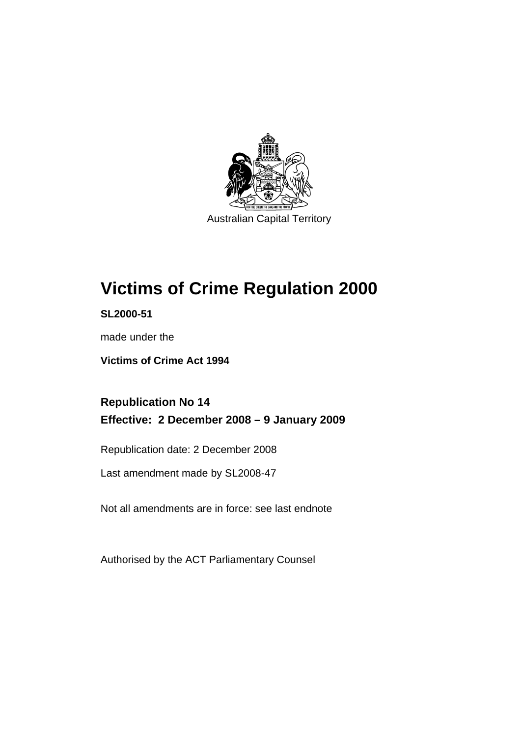

Australian Capital Territory

# **[Victims of Crime Regulation 2000](#page-6-0)**

**SL2000-51** 

made under the

**[Victims of Crime Act 1994](#page-6-0)** 

**Republication No 14 Effective: 2 December 2008 – 9 January 2009** 

Republication date: 2 December 2008

Last amendment made by SL2008-47

Not all amendments are in force: see last endnote

Authorised by the ACT Parliamentary Counsel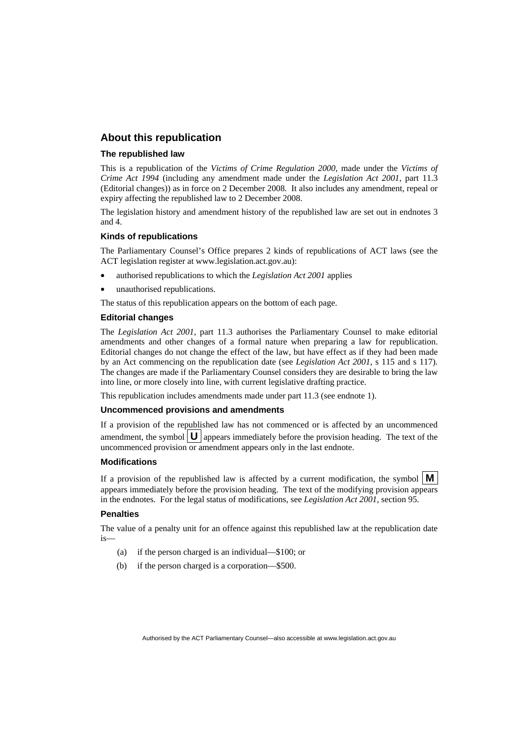#### **About this republication**

#### **The republished law**

This is a republication of the *Victims of Crime Regulation 2000*, made under the *[Victims of](#page-6-0)  [Crime Act 1994](#page-6-0)* (including any amendment made under the *Legislation Act 2001*, part 11.3 (Editorial changes)) as in force on 2 December 2008*.* It also includes any amendment, repeal or expiry affecting the republished law to 2 December 2008.

The legislation history and amendment history of the republished law are set out in endnotes 3 and 4.

#### **Kinds of republications**

The Parliamentary Counsel's Office prepares 2 kinds of republications of ACT laws (see the ACT legislation register at www.legislation.act.gov.au):

- authorised republications to which the *Legislation Act 2001* applies
- unauthorised republications.

The status of this republication appears on the bottom of each page.

#### **Editorial changes**

The *Legislation Act 2001*, part 11.3 authorises the Parliamentary Counsel to make editorial amendments and other changes of a formal nature when preparing a law for republication. Editorial changes do not change the effect of the law, but have effect as if they had been made by an Act commencing on the republication date (see *Legislation Act 2001*, s 115 and s 117). The changes are made if the Parliamentary Counsel considers they are desirable to bring the law into line, or more closely into line, with current legislative drafting practice.

This republication includes amendments made under part 11.3 (see endnote 1).

#### **Uncommenced provisions and amendments**

If a provision of the republished law has not commenced or is affected by an uncommenced amendment, the symbol  $\mathbf{U}$  appears immediately before the provision heading. The text of the uncommenced provision  $\overline{or}$  amendment appears only in the last endnote.

#### **Modifications**

If a provision of the republished law is affected by a current modification, the symbol  $\mathbf{M}$ appears immediately before the provision heading. The text of the modifying provision appears in the endnotes. For the legal status of modifications, see *Legislation Act 2001*, section 95.

#### **Penalties**

The value of a penalty unit for an offence against this republished law at the republication date is—

- (a) if the person charged is an individual—\$100; or
- (b) if the person charged is a corporation—\$500.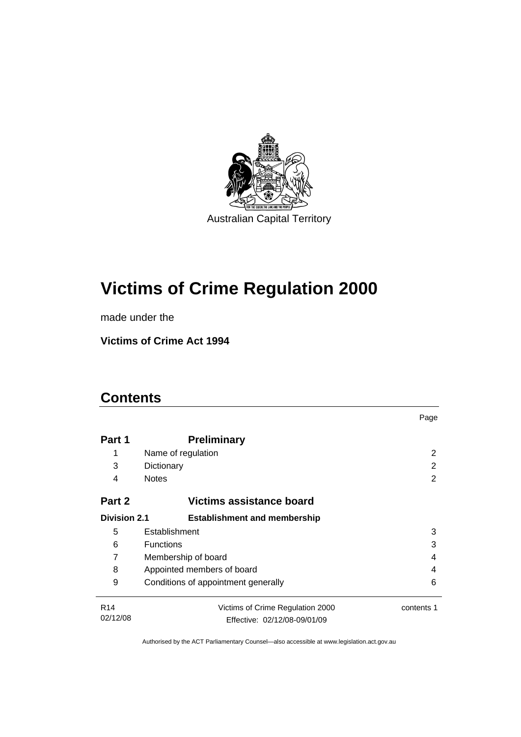

# **[Victims of Crime Regulation 2000](#page-6-0)**

made under the

**[Victims of Crime Act 1994](#page-6-0)** 

# **Contents**

|                                          |                                          | Page       |  |
|------------------------------------------|------------------------------------------|------------|--|
| Part 1                                   | <b>Preliminary</b>                       |            |  |
| 1                                        | Name of regulation                       | 2          |  |
| 3                                        | Dictionary                               | 2          |  |
| 4                                        | <b>Notes</b>                             | 2          |  |
| Part 2                                   | Victims assistance board                 |            |  |
| <b>Division 2.1</b>                      | <b>Establishment and membership</b>      |            |  |
| 5                                        | Establishment                            | 3          |  |
| 6                                        | <b>Functions</b><br>3                    |            |  |
| 7                                        | Membership of board<br>4                 |            |  |
| 8                                        | Appointed members of board<br>4          |            |  |
| 9                                        | Conditions of appointment generally<br>6 |            |  |
| R <sub>14</sub>                          | Victims of Crime Regulation 2000         | contents 1 |  |
| 02/12/08<br>Effective: 02/12/08-09/01/09 |                                          |            |  |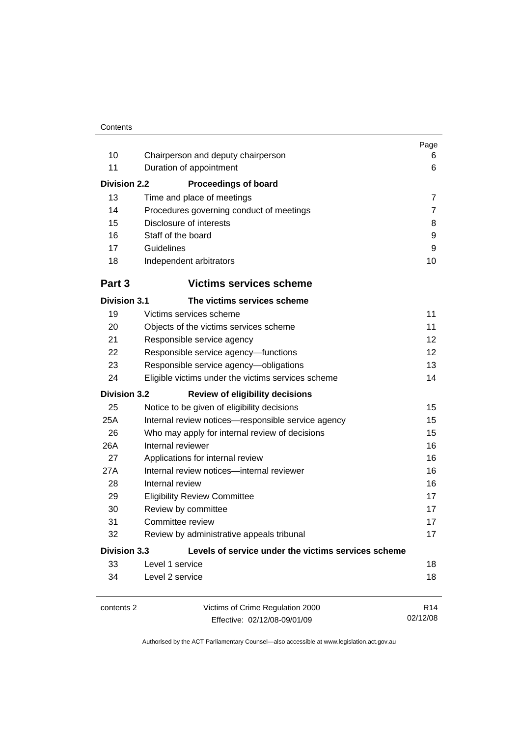| 10<br>11<br><b>Division 2.2</b><br>13<br>14                                | Chairperson and deputy chairperson<br>Duration of appointment<br><b>Proceedings of board</b><br>Time and place of meetings<br>Procedures governing conduct of meetings | Page<br>6<br>6<br>$\overline{7}$<br>7 |
|----------------------------------------------------------------------------|------------------------------------------------------------------------------------------------------------------------------------------------------------------------|---------------------------------------|
| 15                                                                         | Disclosure of interests                                                                                                                                                | 8                                     |
| 16                                                                         | Staff of the board                                                                                                                                                     | 9                                     |
| 17                                                                         | Guidelines                                                                                                                                                             | 9                                     |
| 18                                                                         | Independent arbitrators                                                                                                                                                | 10                                    |
| Part 3                                                                     | <b>Victims services scheme</b>                                                                                                                                         |                                       |
| <b>Division 3.1</b>                                                        | The victims services scheme                                                                                                                                            |                                       |
| 19                                                                         | Victims services scheme                                                                                                                                                | 11                                    |
| 20                                                                         | Objects of the victims services scheme                                                                                                                                 | 11                                    |
| 21                                                                         | Responsible service agency                                                                                                                                             | 12                                    |
| 22                                                                         | Responsible service agency-functions                                                                                                                                   | 12                                    |
| 23                                                                         | Responsible service agency-obligations                                                                                                                                 | 13                                    |
| 24                                                                         | Eligible victims under the victims services scheme                                                                                                                     | 14                                    |
| <b>Division 3.2</b>                                                        | <b>Review of eligibility decisions</b>                                                                                                                                 |                                       |
| 25                                                                         | Notice to be given of eligibility decisions                                                                                                                            | 15                                    |
| 25A                                                                        | Internal review notices-responsible service agency                                                                                                                     | 15                                    |
| 26                                                                         | Who may apply for internal review of decisions                                                                                                                         | 15                                    |
| 26A                                                                        | Internal reviewer                                                                                                                                                      | 16                                    |
| 27                                                                         | Applications for internal review                                                                                                                                       | 16                                    |
| 27A                                                                        | Internal review notices-internal reviewer                                                                                                                              | 16                                    |
| 28                                                                         | Internal review                                                                                                                                                        | 16                                    |
| 29                                                                         | <b>Eligibility Review Committee</b>                                                                                                                                    | 17                                    |
| 30                                                                         | Review by committee                                                                                                                                                    | 17                                    |
| 31                                                                         | Committee review                                                                                                                                                       | 17                                    |
| 32                                                                         | Review by administrative appeals tribunal                                                                                                                              | 17                                    |
| <b>Division 3.3</b><br>Levels of service under the victims services scheme |                                                                                                                                                                        |                                       |
| 33                                                                         | Level 1 service                                                                                                                                                        | 18                                    |
| 34                                                                         | Level 2 service                                                                                                                                                        | 18                                    |
| contents 2                                                                 | Victims of Crime Regulation 2000<br>Effective: 02/12/08-09/01/09                                                                                                       | R <sub>14</sub><br>02/12/08           |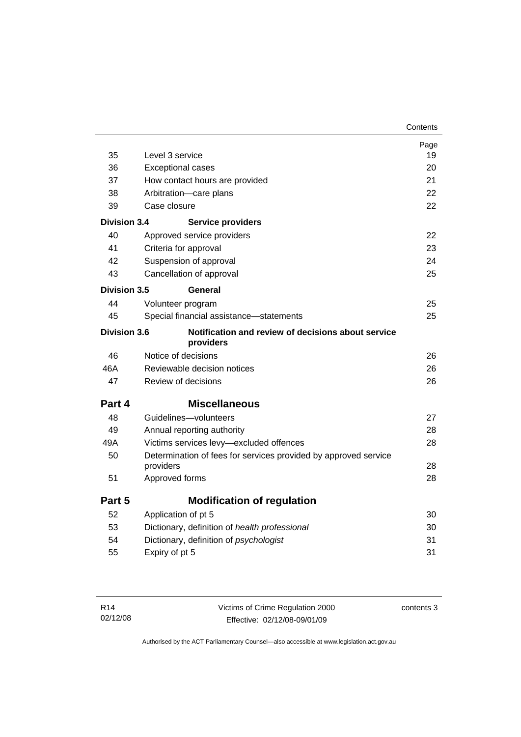|                     |                                                                 | Page     |
|---------------------|-----------------------------------------------------------------|----------|
| 35                  | Level 3 service                                                 | 19<br>20 |
| 36                  | <b>Exceptional cases</b>                                        |          |
| 37                  | How contact hours are provided                                  | 21<br>22 |
| 38                  | Arbitration-care plans                                          |          |
| 39                  | Case closure                                                    | 22       |
| <b>Division 3.4</b> | <b>Service providers</b>                                        |          |
| 40                  | Approved service providers                                      | 22       |
| 41                  | Criteria for approval                                           | 23       |
| 42                  | Suspension of approval                                          | 24       |
| 43                  | Cancellation of approval                                        | 25       |
| Division 3.5        | General                                                         |          |
| 44                  | Volunteer program                                               | 25       |
| 45                  | Special financial assistance-statements                         | 25       |
| <b>Division 3.6</b> | Notification and review of decisions about service<br>providers |          |
| 46                  | Notice of decisions                                             | 26       |
| 46A                 | Reviewable decision notices                                     | 26       |
| 47                  | Review of decisions                                             | 26       |
| Part 4              | <b>Miscellaneous</b>                                            |          |
| 48                  | Guidelines-volunteers                                           | 27       |
| 49                  | Annual reporting authority                                      | 28       |
| 49A                 | Victims services levy-excluded offences                         | 28       |
| 50                  | Determination of fees for services provided by approved service | 28       |
| 51                  | providers<br>Approved forms                                     | 28       |
|                     |                                                                 |          |
| Part 5              | <b>Modification of regulation</b>                               |          |
| 52                  | Application of pt 5                                             | 30       |
| 53                  | Dictionary, definition of health professional                   | 30       |
| 54                  | Dictionary, definition of psychologist                          | 31       |
| 55                  | Expiry of pt 5                                                  | 31       |
|                     |                                                                 |          |

| R14      | Victims of Crime Regulation 2000 | contents 3 |
|----------|----------------------------------|------------|
| 02/12/08 | Effective: 02/12/08-09/01/09     |            |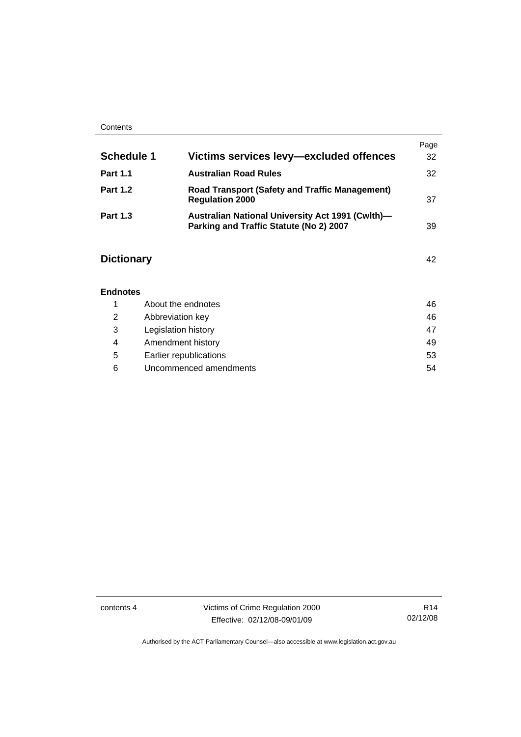#### **Contents**

|                   |                                                                                                    | Page |
|-------------------|----------------------------------------------------------------------------------------------------|------|
| <b>Schedule 1</b> | Victims services levy-excluded offences                                                            | 32   |
| <b>Part 1.1</b>   | <b>Australian Road Rules</b>                                                                       | 32   |
| <b>Part 1.2</b>   | <b>Road Transport (Safety and Traffic Management)</b><br><b>Regulation 2000</b>                    | 37   |
| <b>Part 1.3</b>   | <b>Australian National University Act 1991 (Cwlth)-</b><br>Parking and Traffic Statute (No 2) 2007 | 39   |

# **Dictionary** [42](#page-47-0)

# **Endnotes**

|   | About the endnotes     | 46 |
|---|------------------------|----|
| 2 | Abbreviation key       | 46 |
| 3 | Legislation history    | 47 |
| 4 | Amendment history      | 49 |
| 5 | Earlier republications | 53 |
| 6 | Uncommenced amendments | 54 |

contents 4 Victims of Crime Regulation 2000 Effective: 02/12/08-09/01/09

R14 02/12/08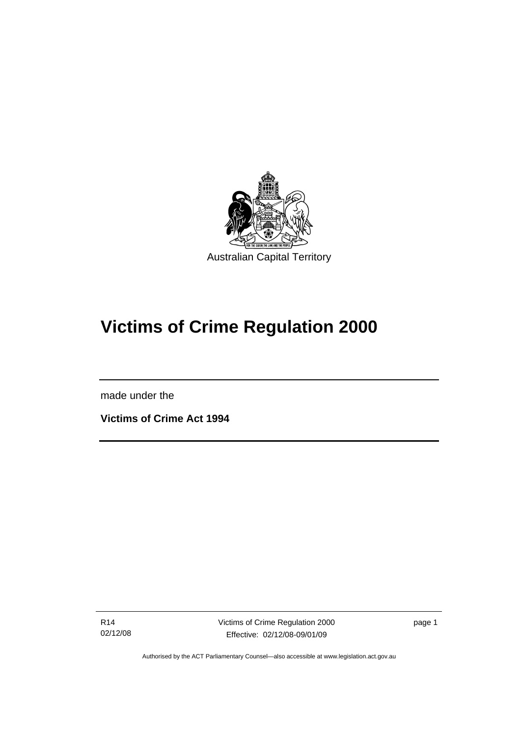<span id="page-6-0"></span>

# **Victims of Crime Regulation 2000**

made under the

I

**Victims of Crime Act 1994** 

R14 02/12/08 Victims of Crime Regulation 2000 Effective: 02/12/08-09/01/09

page 1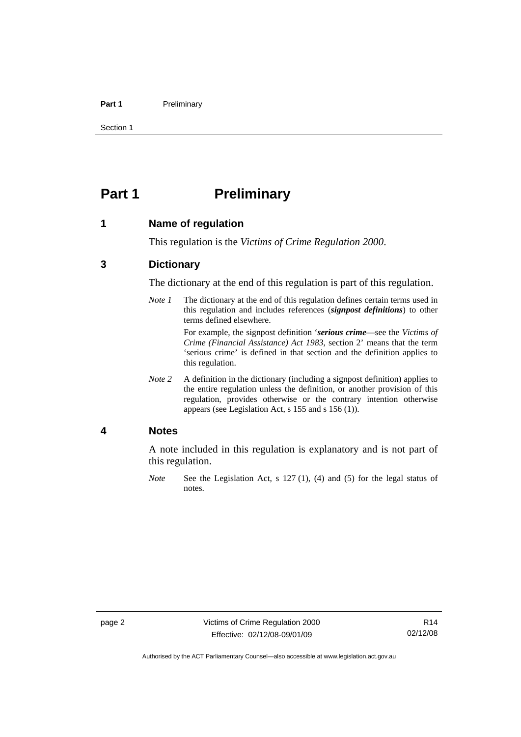#### <span id="page-7-0"></span>Part 1 **Preliminary**

Section 1

# **Part 1** Preliminary

#### **1 Name of regulation**

This regulation is the *Victims of Crime Regulation 2000*.

## **3 Dictionary**

The dictionary at the end of this regulation is part of this regulation.

*Note 1* The dictionary at the end of this regulation defines certain terms used in this regulation and includes references (*signpost definitions*) to other terms defined elsewhere.

> For example, the signpost definition '*serious crime*—see the *Victims of Crime (Financial Assistance) Act 1983*, section 2' means that the term 'serious crime' is defined in that section and the definition applies to this regulation.

*Note 2* A definition in the dictionary (including a signpost definition) applies to the entire regulation unless the definition, or another provision of this regulation, provides otherwise or the contrary intention otherwise appears (see Legislation Act, s 155 and s 156 (1)).

#### **4 Notes**

A note included in this regulation is explanatory and is not part of this regulation.

*Note* See the Legislation Act, s 127 (1), (4) and (5) for the legal status of notes.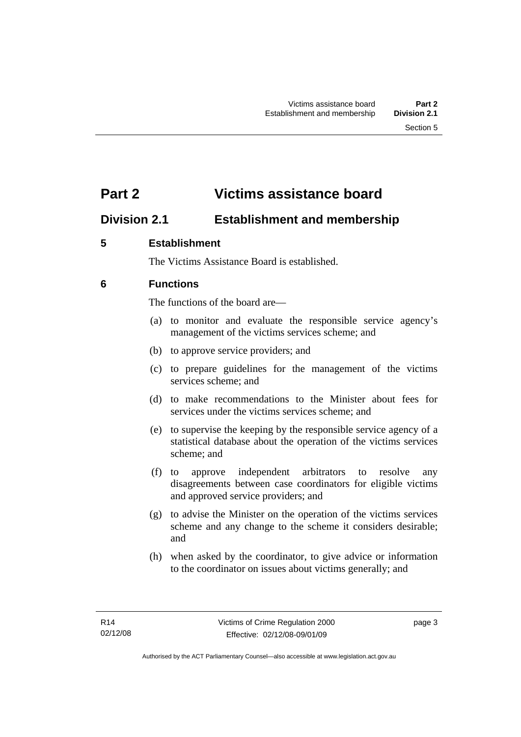# <span id="page-8-0"></span>**Part 2 Victims assistance board**

# **Division 2.1 Establishment and membership**

# **5 Establishment**

The Victims Assistance Board is established.

# **6 Functions**

The functions of the board are—

- (a) to monitor and evaluate the responsible service agency's management of the victims services scheme; and
- (b) to approve service providers; and
- (c) to prepare guidelines for the management of the victims services scheme; and
- (d) to make recommendations to the Minister about fees for services under the victims services scheme; and
- (e) to supervise the keeping by the responsible service agency of a statistical database about the operation of the victims services scheme; and
- (f) to approve independent arbitrators to resolve any disagreements between case coordinators for eligible victims and approved service providers; and
- (g) to advise the Minister on the operation of the victims services scheme and any change to the scheme it considers desirable; and
- (h) when asked by the coordinator, to give advice or information to the coordinator on issues about victims generally; and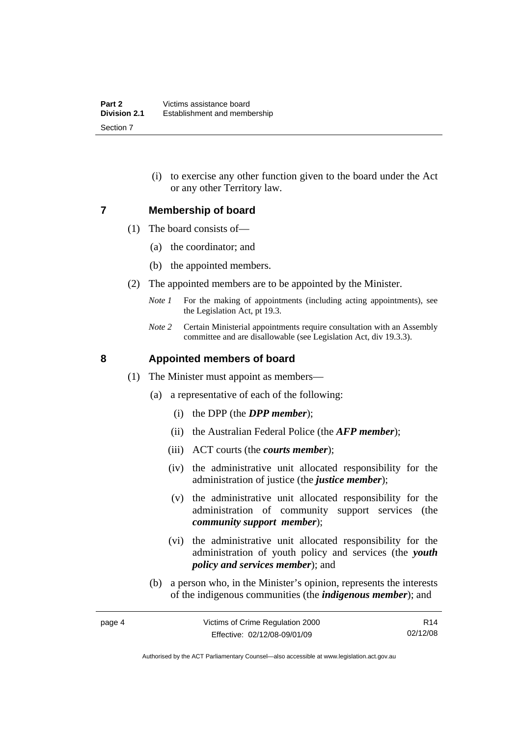(i) to exercise any other function given to the board under the Act or any other Territory law.

#### <span id="page-9-0"></span>**7 Membership of board**

- (1) The board consists of—
	- (a) the coordinator; and
	- (b) the appointed members.
- (2) The appointed members are to be appointed by the Minister.
	- *Note 1* For the making of appointments (including acting appointments), see the Legislation Act, pt 19.3.
	- *Note 2* Certain Ministerial appointments require consultation with an Assembly committee and are disallowable (see Legislation Act, div 19.3.3).

## **8 Appointed members of board**

- (1) The Minister must appoint as members—
	- (a) a representative of each of the following:
		- (i) the DPP (the *DPP member*);
		- (ii) the Australian Federal Police (the *AFP member*);
		- (iii) ACT courts (the *courts member*);
		- (iv) the administrative unit allocated responsibility for the administration of justice (the *justice member*);
		- (v) the administrative unit allocated responsibility for the administration of community support services (the *community support member*);
		- (vi) the administrative unit allocated responsibility for the administration of youth policy and services (the *youth policy and services member*); and
	- (b) a person who, in the Minister's opinion, represents the interests of the indigenous communities (the *indigenous member*); and

Authorised by the ACT Parliamentary Counsel—also accessible at www.legislation.act.gov.au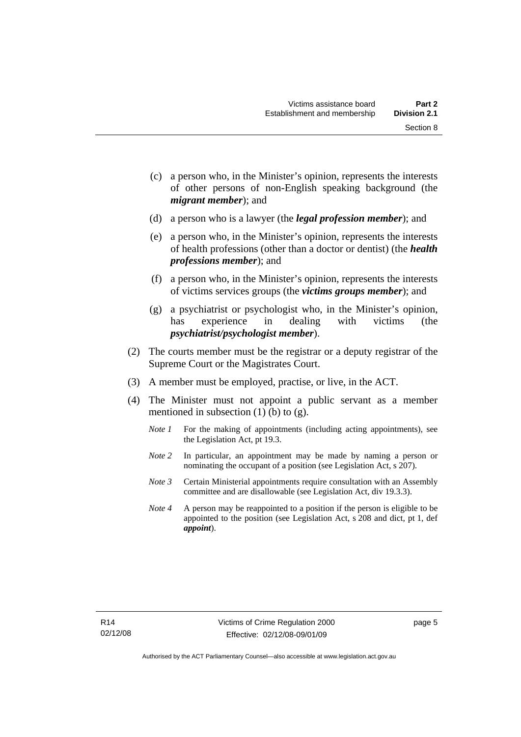Section 8

- (c) a person who, in the Minister's opinion, represents the interests of other persons of non-English speaking background (the
- (d) a person who is a lawyer (the *legal profession member*); and

*migrant member*); and

- (e) a person who, in the Minister's opinion, represents the interests of health professions (other than a doctor or dentist) (the *health professions member*); and
- (f) a person who, in the Minister's opinion, represents the interests of victims services groups (the *victims groups member*); and
- (g) a psychiatrist or psychologist who, in the Minister's opinion, has experience in dealing with victims (the *psychiatrist/psychologist member*).
- (2) The courts member must be the registrar or a deputy registrar of the Supreme Court or the Magistrates Court.
- (3) A member must be employed, practise, or live, in the ACT.
- (4) The Minister must not appoint a public servant as a member mentioned in subsection  $(1)$  (b) to  $(g)$ .
	- *Note 1* For the making of appointments (including acting appointments), see the Legislation Act, pt 19.3.
	- *Note 2* In particular, an appointment may be made by naming a person or nominating the occupant of a position (see Legislation Act, s 207).
	- *Note 3* Certain Ministerial appointments require consultation with an Assembly committee and are disallowable (see Legislation Act, div 19.3.3).
	- *Note 4* A person may be reappointed to a position if the person is eligible to be appointed to the position (see Legislation Act, s 208 and dict, pt 1, def *appoint*).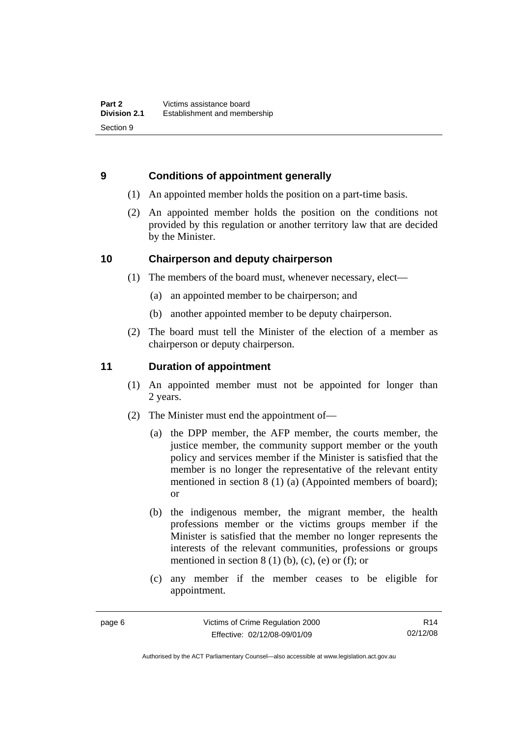# <span id="page-11-0"></span>**9 Conditions of appointment generally**

- (1) An appointed member holds the position on a part-time basis.
- (2) An appointed member holds the position on the conditions not provided by this regulation or another territory law that are decided by the Minister.

# **10 Chairperson and deputy chairperson**

- (1) The members of the board must, whenever necessary, elect—
	- (a) an appointed member to be chairperson; and
	- (b) another appointed member to be deputy chairperson.
- (2) The board must tell the Minister of the election of a member as chairperson or deputy chairperson.

# **11 Duration of appointment**

- (1) An appointed member must not be appointed for longer than 2 years.
- (2) The Minister must end the appointment of—
	- (a) the DPP member, the AFP member, the courts member, the justice member, the community support member or the youth policy and services member if the Minister is satisfied that the member is no longer the representative of the relevant entity mentioned in section 8 (1) (a) (Appointed members of board); or
	- (b) the indigenous member, the migrant member, the health professions member or the victims groups member if the Minister is satisfied that the member no longer represents the interests of the relevant communities, professions or groups mentioned in section  $8(1)$  (b), (c), (e) or (f); or
	- (c) any member if the member ceases to be eligible for appointment.

R14 02/12/08

Authorised by the ACT Parliamentary Counsel—also accessible at www.legislation.act.gov.au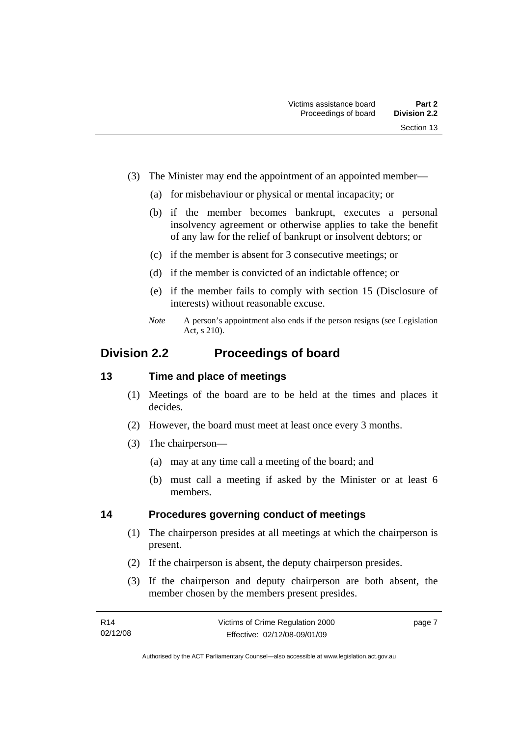- <span id="page-12-0"></span> (3) The Minister may end the appointment of an appointed member—
	- (a) for misbehaviour or physical or mental incapacity; or
	- (b) if the member becomes bankrupt, executes a personal insolvency agreement or otherwise applies to take the benefit of any law for the relief of bankrupt or insolvent debtors; or
	- (c) if the member is absent for 3 consecutive meetings; or
	- (d) if the member is convicted of an indictable offence; or
	- (e) if the member fails to comply with section 15 (Disclosure of interests) without reasonable excuse.
	- *Note* A person's appointment also ends if the person resigns (see Legislation Act, s 210).

# **Division 2.2 Proceedings of board**

## **13 Time and place of meetings**

- (1) Meetings of the board are to be held at the times and places it decides.
- (2) However, the board must meet at least once every 3 months.
- (3) The chairperson—
	- (a) may at any time call a meeting of the board; and
	- (b) must call a meeting if asked by the Minister or at least 6 members.

## **14 Procedures governing conduct of meetings**

- (1) The chairperson presides at all meetings at which the chairperson is present.
- (2) If the chairperson is absent, the deputy chairperson presides.
- (3) If the chairperson and deputy chairperson are both absent, the member chosen by the members present presides.

page 7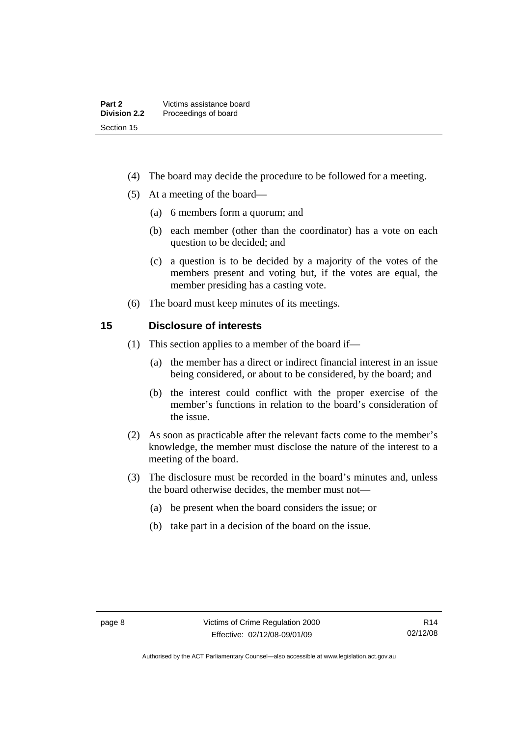- <span id="page-13-0"></span>(4) The board may decide the procedure to be followed for a meeting.
- (5) At a meeting of the board—
	- (a) 6 members form a quorum; and
	- (b) each member (other than the coordinator) has a vote on each question to be decided; and
	- (c) a question is to be decided by a majority of the votes of the members present and voting but, if the votes are equal, the member presiding has a casting vote.
- (6) The board must keep minutes of its meetings.

## **15 Disclosure of interests**

- (1) This section applies to a member of the board if—
	- (a) the member has a direct or indirect financial interest in an issue being considered, or about to be considered, by the board; and
	- (b) the interest could conflict with the proper exercise of the member's functions in relation to the board's consideration of the issue.
- (2) As soon as practicable after the relevant facts come to the member's knowledge, the member must disclose the nature of the interest to a meeting of the board.
- (3) The disclosure must be recorded in the board's minutes and, unless the board otherwise decides, the member must not—
	- (a) be present when the board considers the issue; or
	- (b) take part in a decision of the board on the issue.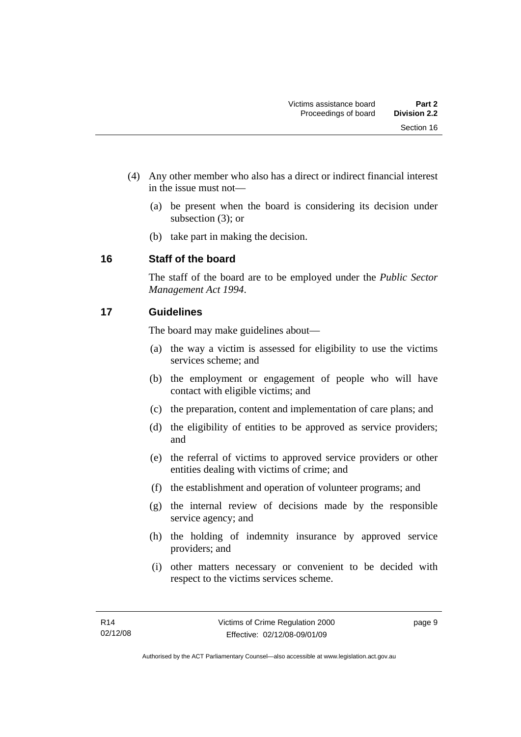- <span id="page-14-0"></span> (4) Any other member who also has a direct or indirect financial interest in the issue must not—
	- (a) be present when the board is considering its decision under subsection (3); or
	- (b) take part in making the decision.

# **16 Staff of the board**

The staff of the board are to be employed under the *Public Sector Management Act 1994*.

# **17 Guidelines**

The board may make guidelines about—

- (a) the way a victim is assessed for eligibility to use the victims services scheme; and
- (b) the employment or engagement of people who will have contact with eligible victims; and
- (c) the preparation, content and implementation of care plans; and
- (d) the eligibility of entities to be approved as service providers; and
- (e) the referral of victims to approved service providers or other entities dealing with victims of crime; and
- (f) the establishment and operation of volunteer programs; and
- (g) the internal review of decisions made by the responsible service agency; and
- (h) the holding of indemnity insurance by approved service providers; and
- (i) other matters necessary or convenient to be decided with respect to the victims services scheme.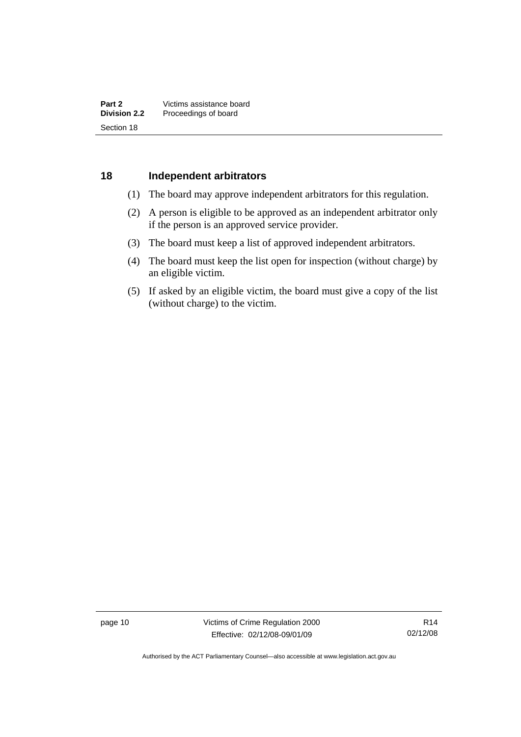## <span id="page-15-0"></span>**18 Independent arbitrators**

- (1) The board may approve independent arbitrators for this regulation.
- (2) A person is eligible to be approved as an independent arbitrator only if the person is an approved service provider.
- (3) The board must keep a list of approved independent arbitrators.
- (4) The board must keep the list open for inspection (without charge) by an eligible victim.
- (5) If asked by an eligible victim, the board must give a copy of the list (without charge) to the victim.

page 10 Victims of Crime Regulation 2000 Effective: 02/12/08-09/01/09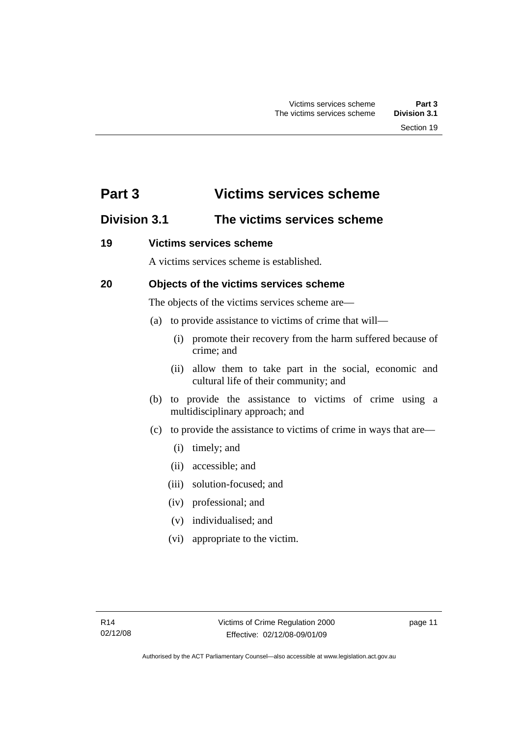# <span id="page-16-0"></span>**Part 3 Victims services scheme**

# **Division 3.1 The victims services scheme**

## **19 Victims services scheme**

A victims services scheme is established.

# **20 Objects of the victims services scheme**

The objects of the victims services scheme are—

- (a) to provide assistance to victims of crime that will—
	- (i) promote their recovery from the harm suffered because of crime; and
	- (ii) allow them to take part in the social, economic and cultural life of their community; and
- (b) to provide the assistance to victims of crime using a multidisciplinary approach; and
- (c) to provide the assistance to victims of crime in ways that are—
	- (i) timely; and
	- (ii) accessible; and
	- (iii) solution-focused; and
	- (iv) professional; and
	- (v) individualised; and
	- (vi) appropriate to the victim.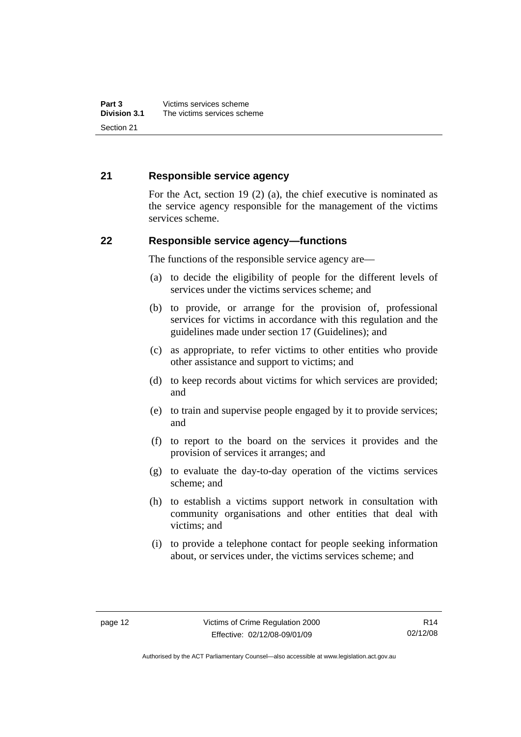## <span id="page-17-0"></span>**21 Responsible service agency**

For the Act, section 19 (2) (a), the chief executive is nominated as the service agency responsible for the management of the victims services scheme.

## **22 Responsible service agency—functions**

The functions of the responsible service agency are—

- (a) to decide the eligibility of people for the different levels of services under the victims services scheme; and
- (b) to provide, or arrange for the provision of, professional services for victims in accordance with this regulation and the guidelines made under section 17 (Guidelines); and
- (c) as appropriate, to refer victims to other entities who provide other assistance and support to victims; and
- (d) to keep records about victims for which services are provided; and
- (e) to train and supervise people engaged by it to provide services; and
- (f) to report to the board on the services it provides and the provision of services it arranges; and
- (g) to evaluate the day-to-day operation of the victims services scheme; and
- (h) to establish a victims support network in consultation with community organisations and other entities that deal with victims; and
- (i) to provide a telephone contact for people seeking information about, or services under, the victims services scheme; and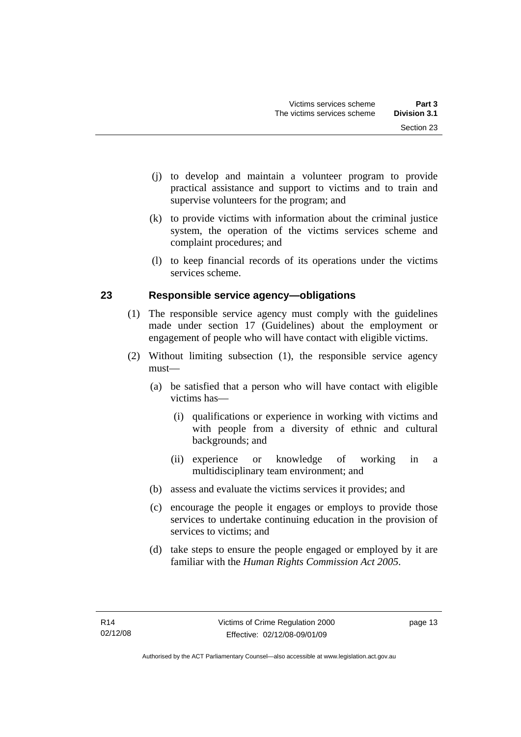- <span id="page-18-0"></span> (j) to develop and maintain a volunteer program to provide practical assistance and support to victims and to train and supervise volunteers for the program; and
- (k) to provide victims with information about the criminal justice system, the operation of the victims services scheme and complaint procedures; and
- (l) to keep financial records of its operations under the victims services scheme.

# **23 Responsible service agency—obligations**

- (1) The responsible service agency must comply with the guidelines made under section 17 (Guidelines) about the employment or engagement of people who will have contact with eligible victims.
- (2) Without limiting subsection (1), the responsible service agency must—
	- (a) be satisfied that a person who will have contact with eligible victims has—
		- (i) qualifications or experience in working with victims and with people from a diversity of ethnic and cultural backgrounds; and
		- (ii) experience or knowledge of working in a multidisciplinary team environment; and
	- (b) assess and evaluate the victims services it provides; and
	- (c) encourage the people it engages or employs to provide those services to undertake continuing education in the provision of services to victims; and
	- (d) take steps to ensure the people engaged or employed by it are familiar with the *Human Rights Commission Act 2005*.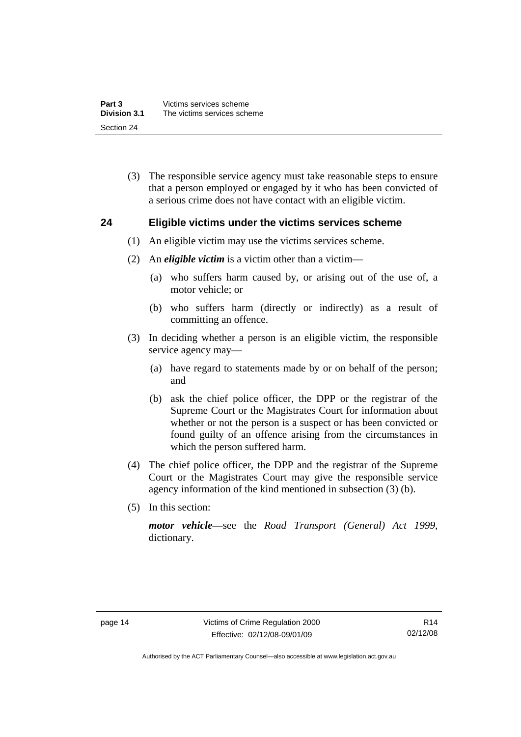<span id="page-19-0"></span> (3) The responsible service agency must take reasonable steps to ensure that a person employed or engaged by it who has been convicted of a serious crime does not have contact with an eligible victim.

## **24 Eligible victims under the victims services scheme**

- (1) An eligible victim may use the victims services scheme.
- (2) An *eligible victim* is a victim other than a victim—
	- (a) who suffers harm caused by, or arising out of the use of, a motor vehicle; or
	- (b) who suffers harm (directly or indirectly) as a result of committing an offence.
- (3) In deciding whether a person is an eligible victim, the responsible service agency may—
	- (a) have regard to statements made by or on behalf of the person; and
	- (b) ask the chief police officer, the DPP or the registrar of the Supreme Court or the Magistrates Court for information about whether or not the person is a suspect or has been convicted or found guilty of an offence arising from the circumstances in which the person suffered harm.
- (4) The chief police officer, the DPP and the registrar of the Supreme Court or the Magistrates Court may give the responsible service agency information of the kind mentioned in subsection (3) (b).
- (5) In this section:

*motor vehicle*—see the *Road Transport (General) Act 1999*, dictionary.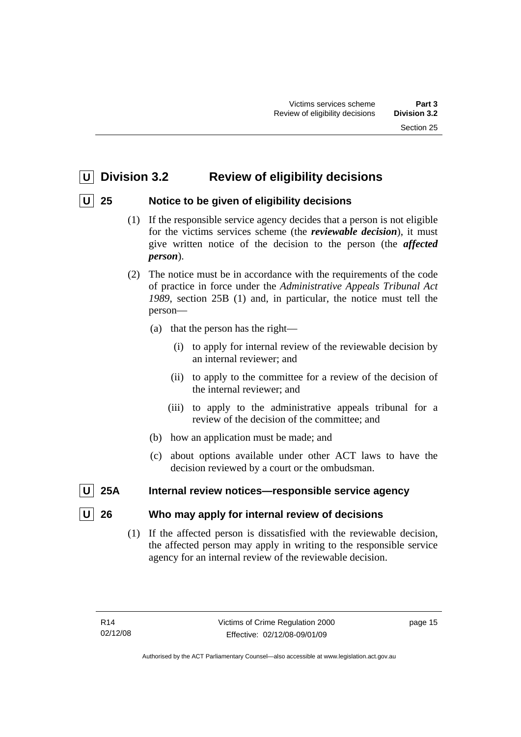# <span id="page-20-0"></span> **U Division 3.2 Review of eligibility decisions**

# **U 25 Notice to be given of eligibility decisions**

- (1) If the responsible service agency decides that a person is not eligible for the victims services scheme (the *reviewable decision*), it must give written notice of the decision to the person (the *affected person*).
- (2) The notice must be in accordance with the requirements of the code of practice in force under the *Administrative Appeals Tribunal Act 1989*, section 25B (1) and, in particular, the notice must tell the person—
	- (a) that the person has the right—
		- (i) to apply for internal review of the reviewable decision by an internal reviewer; and
		- (ii) to apply to the committee for a review of the decision of the internal reviewer; and
		- (iii) to apply to the administrative appeals tribunal for a review of the decision of the committee; and
	- (b) how an application must be made; and
	- (c) about options available under other ACT laws to have the decision reviewed by a court or the ombudsman.
- **25A** Internal review notices—responsible service agency

# **26** Who may apply for internal review of decisions

 (1) If the affected person is dissatisfied with the reviewable decision, the affected person may apply in writing to the responsible service agency for an internal review of the reviewable decision.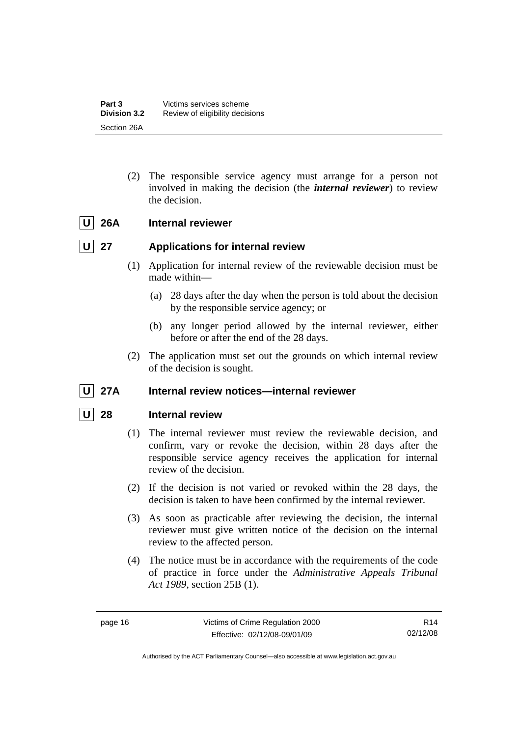<span id="page-21-0"></span> (2) The responsible service agency must arrange for a person not involved in making the decision (the *internal reviewer*) to review the decision.

# U 26A Internal reviewer

# **U** 27 Applications for internal review

- (1) Application for internal review of the reviewable decision must be made within—
	- (a) 28 days after the day when the person is told about the decision by the responsible service agency; or
	- (b) any longer period allowed by the internal reviewer, either before or after the end of the 28 days.
- (2) The application must set out the grounds on which internal review of the decision is sought.

# U 27A Internal review notices—internal reviewer

# **28** Internal review

- (1) The internal reviewer must review the reviewable decision, and confirm, vary or revoke the decision, within 28 days after the responsible service agency receives the application for internal review of the decision.
- (2) If the decision is not varied or revoked within the 28 days, the decision is taken to have been confirmed by the internal reviewer.
- (3) As soon as practicable after reviewing the decision, the internal reviewer must give written notice of the decision on the internal review to the affected person.
- (4) The notice must be in accordance with the requirements of the code of practice in force under the *Administrative Appeals Tribunal Act 1989*, section 25B (1).

R14 02/12/08

Authorised by the ACT Parliamentary Counsel—also accessible at www.legislation.act.gov.au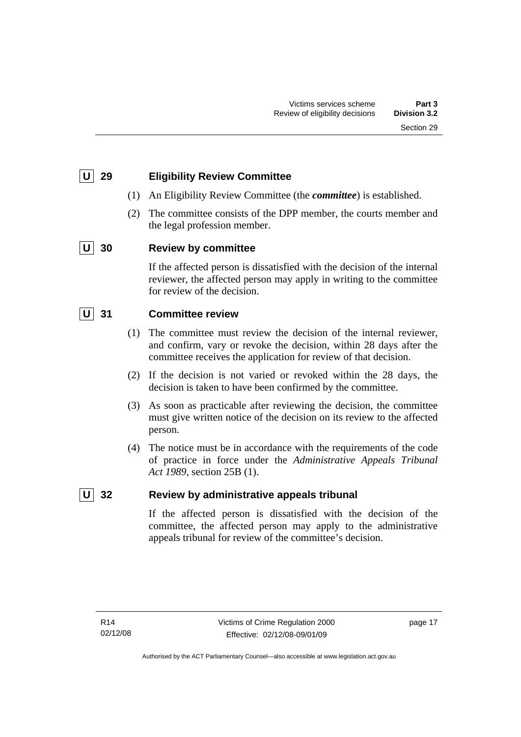# <span id="page-22-0"></span> **U 29 Eligibility Review Committee**

- (1) An Eligibility Review Committee (the *committee*) is established.
- (2) The committee consists of the DPP member, the courts member and the legal profession member.

# **U 30 Review by committee**

If the affected person is dissatisfied with the decision of the internal reviewer, the affected person may apply in writing to the committee for review of the decision.

# **U 31 Committee review**

- (1) The committee must review the decision of the internal reviewer, and confirm, vary or revoke the decision, within 28 days after the committee receives the application for review of that decision.
- (2) If the decision is not varied or revoked within the 28 days, the decision is taken to have been confirmed by the committee.
- (3) As soon as practicable after reviewing the decision, the committee must give written notice of the decision on its review to the affected person.
- (4) The notice must be in accordance with the requirements of the code of practice in force under the *Administrative Appeals Tribunal Act 1989*, section 25B (1).

# **U** 32 Review by administrative appeals tribunal

If the affected person is dissatisfied with the decision of the committee, the affected person may apply to the administrative appeals tribunal for review of the committee's decision.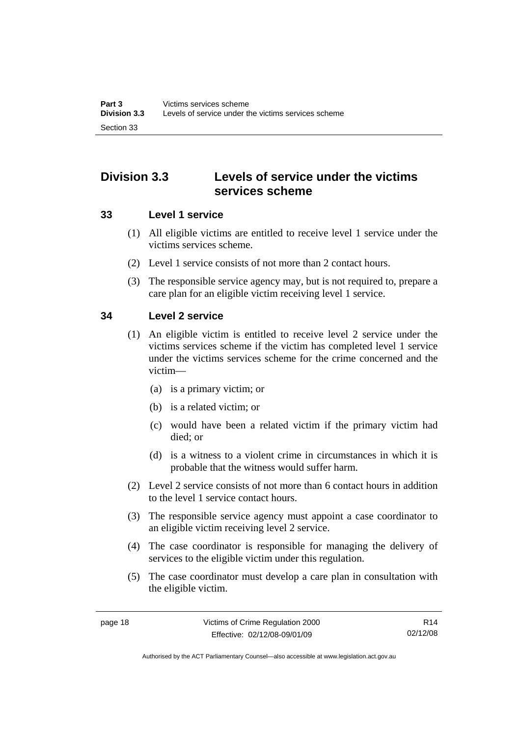# <span id="page-23-0"></span>**Division 3.3 Levels of service under the victims services scheme**

## **33 Level 1 service**

- (1) All eligible victims are entitled to receive level 1 service under the victims services scheme.
- (2) Level 1 service consists of not more than 2 contact hours.
- (3) The responsible service agency may, but is not required to, prepare a care plan for an eligible victim receiving level 1 service.

# **34 Level 2 service**

- (1) An eligible victim is entitled to receive level 2 service under the victims services scheme if the victim has completed level 1 service under the victims services scheme for the crime concerned and the victim—
	- (a) is a primary victim; or
	- (b) is a related victim; or
	- (c) would have been a related victim if the primary victim had died; or
	- (d) is a witness to a violent crime in circumstances in which it is probable that the witness would suffer harm.
- (2) Level 2 service consists of not more than 6 contact hours in addition to the level 1 service contact hours.
- (3) The responsible service agency must appoint a case coordinator to an eligible victim receiving level 2 service.
- (4) The case coordinator is responsible for managing the delivery of services to the eligible victim under this regulation.
- (5) The case coordinator must develop a care plan in consultation with the eligible victim.

R14 02/12/08

Authorised by the ACT Parliamentary Counsel—also accessible at www.legislation.act.gov.au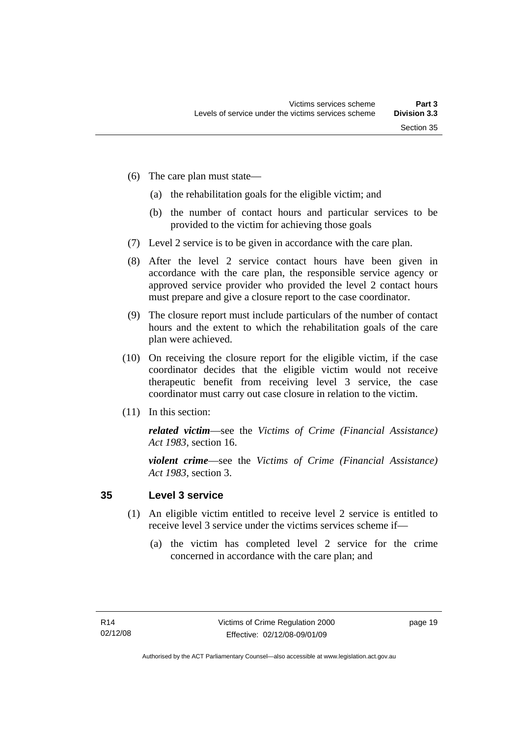- <span id="page-24-0"></span> (6) The care plan must state—
	- (a) the rehabilitation goals for the eligible victim; and
	- (b) the number of contact hours and particular services to be provided to the victim for achieving those goals
- (7) Level 2 service is to be given in accordance with the care plan.
- (8) After the level 2 service contact hours have been given in accordance with the care plan, the responsible service agency or approved service provider who provided the level 2 contact hours must prepare and give a closure report to the case coordinator.
- (9) The closure report must include particulars of the number of contact hours and the extent to which the rehabilitation goals of the care plan were achieved.
- (10) On receiving the closure report for the eligible victim, if the case coordinator decides that the eligible victim would not receive therapeutic benefit from receiving level 3 service, the case coordinator must carry out case closure in relation to the victim.
- (11) In this section:

*related victim*—see the *Victims of Crime (Financial Assistance) Act 1983*, section 16.

*violent crime*—see the *Victims of Crime (Financial Assistance) Act 1983*, section 3.

## **35 Level 3 service**

- (1) An eligible victim entitled to receive level 2 service is entitled to receive level 3 service under the victims services scheme if—
	- (a) the victim has completed level 2 service for the crime concerned in accordance with the care plan; and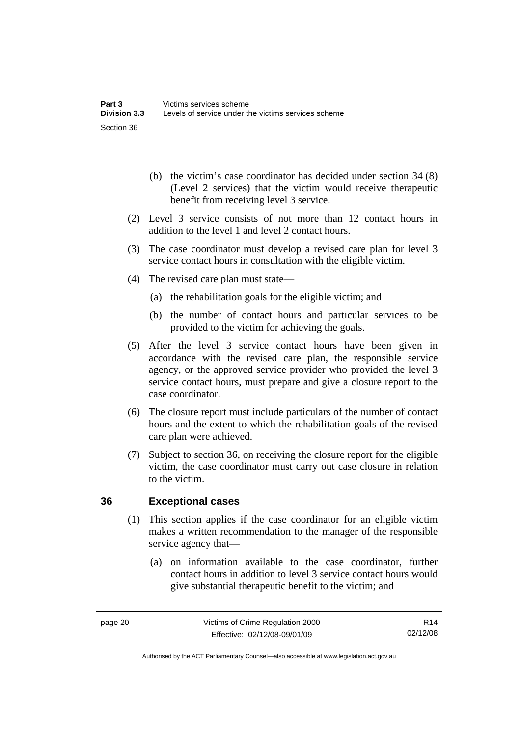- <span id="page-25-0"></span> (b) the victim's case coordinator has decided under section 34 (8) (Level 2 services) that the victim would receive therapeutic benefit from receiving level 3 service.
- (2) Level 3 service consists of not more than 12 contact hours in addition to the level 1 and level 2 contact hours.
- (3) The case coordinator must develop a revised care plan for level 3 service contact hours in consultation with the eligible victim.
- (4) The revised care plan must state—
	- (a) the rehabilitation goals for the eligible victim; and
	- (b) the number of contact hours and particular services to be provided to the victim for achieving the goals.
- (5) After the level 3 service contact hours have been given in accordance with the revised care plan, the responsible service agency, or the approved service provider who provided the level 3 service contact hours, must prepare and give a closure report to the case coordinator.
- (6) The closure report must include particulars of the number of contact hours and the extent to which the rehabilitation goals of the revised care plan were achieved.
- (7) Subject to section 36, on receiving the closure report for the eligible victim, the case coordinator must carry out case closure in relation to the victim.

# **36 Exceptional cases**

- (1) This section applies if the case coordinator for an eligible victim makes a written recommendation to the manager of the responsible service agency that—
	- (a) on information available to the case coordinator, further contact hours in addition to level 3 service contact hours would give substantial therapeutic benefit to the victim; and

R14 02/12/08

Authorised by the ACT Parliamentary Counsel—also accessible at www.legislation.act.gov.au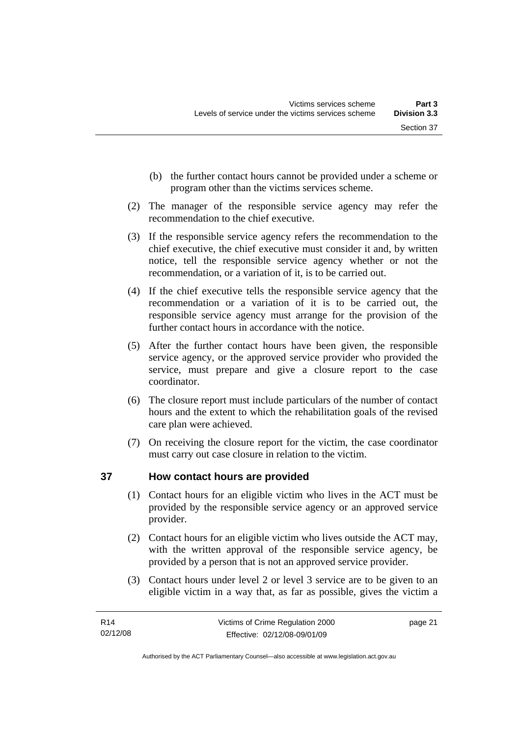- <span id="page-26-0"></span> (b) the further contact hours cannot be provided under a scheme or program other than the victims services scheme.
- (2) The manager of the responsible service agency may refer the recommendation to the chief executive.
- (3) If the responsible service agency refers the recommendation to the chief executive, the chief executive must consider it and, by written notice, tell the responsible service agency whether or not the recommendation, or a variation of it, is to be carried out.
- (4) If the chief executive tells the responsible service agency that the recommendation or a variation of it is to be carried out, the responsible service agency must arrange for the provision of the further contact hours in accordance with the notice.
- (5) After the further contact hours have been given, the responsible service agency, or the approved service provider who provided the service, must prepare and give a closure report to the case coordinator.
- (6) The closure report must include particulars of the number of contact hours and the extent to which the rehabilitation goals of the revised care plan were achieved.
- (7) On receiving the closure report for the victim, the case coordinator must carry out case closure in relation to the victim.

# **37 How contact hours are provided**

- (1) Contact hours for an eligible victim who lives in the ACT must be provided by the responsible service agency or an approved service provider.
- (2) Contact hours for an eligible victim who lives outside the ACT may, with the written approval of the responsible service agency, be provided by a person that is not an approved service provider.
- (3) Contact hours under level 2 or level 3 service are to be given to an eligible victim in a way that, as far as possible, gives the victim a

page 21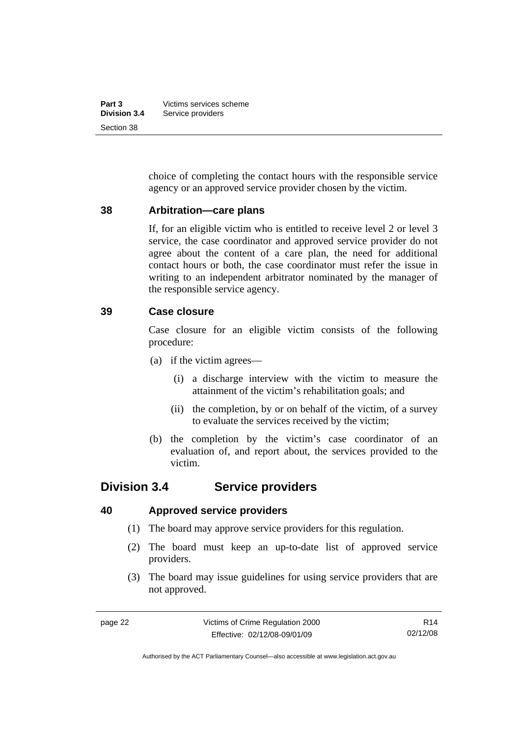<span id="page-27-0"></span>

| Part 3              | Victims services scheme |
|---------------------|-------------------------|
| <b>Division 3.4</b> | Service providers       |
| Section 38          |                         |

choice of completing the contact hours with the responsible service agency or an approved service provider chosen by the victim.

#### **38 Arbitration—care plans**

If, for an eligible victim who is entitled to receive level 2 or level 3 service, the case coordinator and approved service provider do not agree about the content of a care plan, the need for additional contact hours or both, the case coordinator must refer the issue in writing to an independent arbitrator nominated by the manager of the responsible service agency.

## **39 Case closure**

Case closure for an eligible victim consists of the following procedure:

- (a) if the victim agrees—
	- (i) a discharge interview with the victim to measure the attainment of the victim's rehabilitation goals; and
	- (ii) the completion, by or on behalf of the victim, of a survey to evaluate the services received by the victim;
- (b) the completion by the victim's case coordinator of an evaluation of, and report about, the services provided to the victim.

# **Division 3.4 Service providers**

#### **40 Approved service providers**

- (1) The board may approve service providers for this regulation.
- (2) The board must keep an up-to-date list of approved service providers.
- (3) The board may issue guidelines for using service providers that are not approved.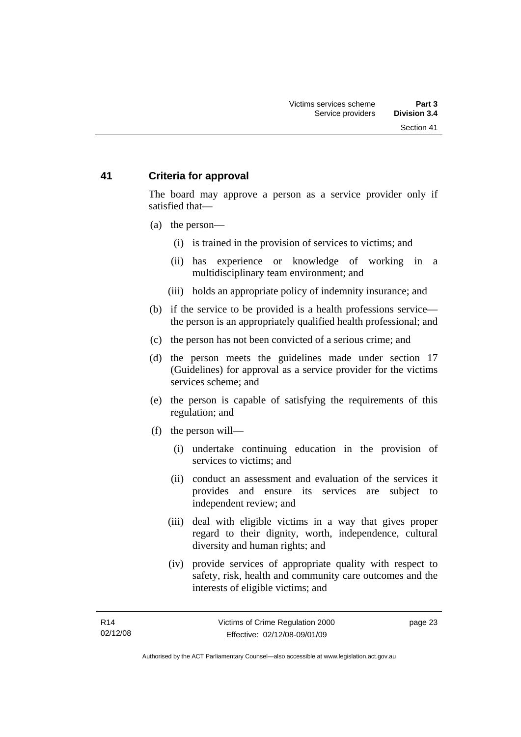# <span id="page-28-0"></span>**41 Criteria for approval**

The board may approve a person as a service provider only if satisfied that—

- (a) the person—
	- (i) is trained in the provision of services to victims; and
	- (ii) has experience or knowledge of working in a multidisciplinary team environment; and
	- (iii) holds an appropriate policy of indemnity insurance; and
- (b) if the service to be provided is a health professions service the person is an appropriately qualified health professional; and
- (c) the person has not been convicted of a serious crime; and
- (d) the person meets the guidelines made under section 17 (Guidelines) for approval as a service provider for the victims services scheme; and
- (e) the person is capable of satisfying the requirements of this regulation; and
- (f) the person will—
	- (i) undertake continuing education in the provision of services to victims; and
	- (ii) conduct an assessment and evaluation of the services it provides and ensure its services are subject to independent review; and
	- (iii) deal with eligible victims in a way that gives proper regard to their dignity, worth, independence, cultural diversity and human rights; and
	- (iv) provide services of appropriate quality with respect to safety, risk, health and community care outcomes and the interests of eligible victims; and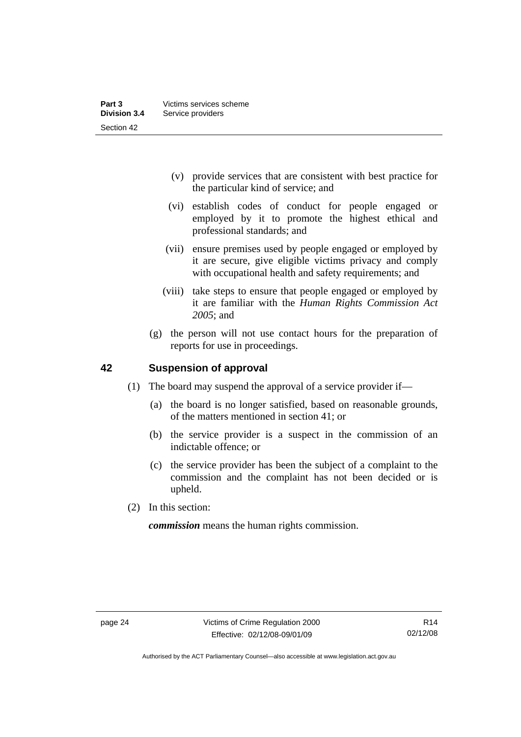- <span id="page-29-0"></span> (v) provide services that are consistent with best practice for the particular kind of service; and
- (vi) establish codes of conduct for people engaged or employed by it to promote the highest ethical and professional standards; and
- (vii) ensure premises used by people engaged or employed by it are secure, give eligible victims privacy and comply with occupational health and safety requirements; and
- (viii) take steps to ensure that people engaged or employed by it are familiar with the *Human Rights Commission Act 2005*; and
- (g) the person will not use contact hours for the preparation of reports for use in proceedings.

## **42 Suspension of approval**

- (1) The board may suspend the approval of a service provider if—
	- (a) the board is no longer satisfied, based on reasonable grounds, of the matters mentioned in section 41; or
	- (b) the service provider is a suspect in the commission of an indictable offence; or
	- (c) the service provider has been the subject of a complaint to the commission and the complaint has not been decided or is upheld.
- (2) In this section:

*commission* means the human rights commission.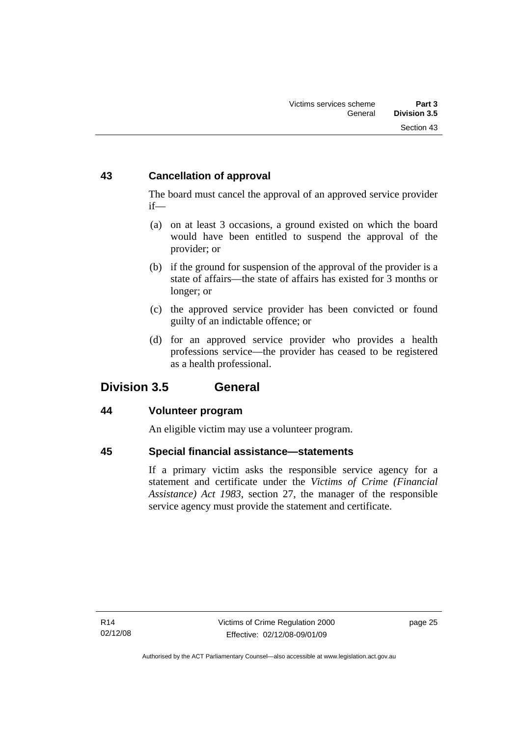# <span id="page-30-0"></span>**43 Cancellation of approval**

The board must cancel the approval of an approved service provider if—

- (a) on at least 3 occasions, a ground existed on which the board would have been entitled to suspend the approval of the provider; or
- (b) if the ground for suspension of the approval of the provider is a state of affairs—the state of affairs has existed for 3 months or longer; or
- (c) the approved service provider has been convicted or found guilty of an indictable offence; or
- (d) for an approved service provider who provides a health professions service—the provider has ceased to be registered as a health professional.

# **Division 3.5 General**

# **44 Volunteer program**

An eligible victim may use a volunteer program.

# **45 Special financial assistance—statements**

If a primary victim asks the responsible service agency for a statement and certificate under the *Victims of Crime (Financial Assistance) Act 1983*, section 27, the manager of the responsible service agency must provide the statement and certificate.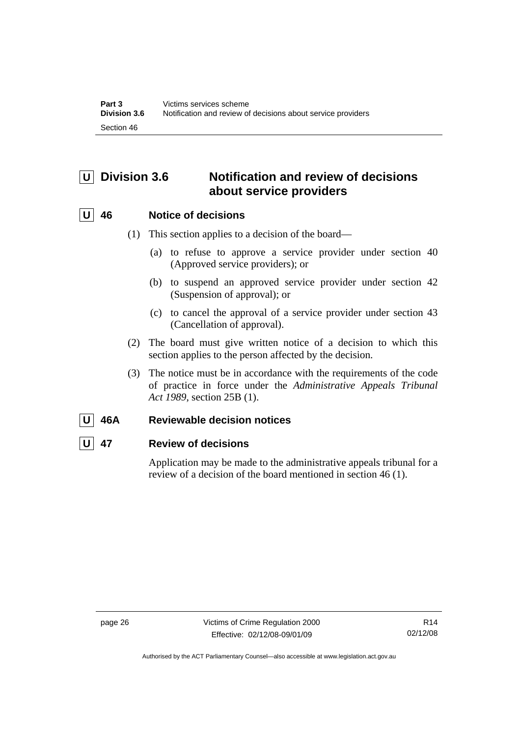# <span id="page-31-0"></span>**U Division 3.6 Notification and review of decisions about service providers**

# **U 46 Notice of decisions**

- (1) This section applies to a decision of the board—
	- (a) to refuse to approve a service provider under section 40 (Approved service providers); or
	- (b) to suspend an approved service provider under section 42 (Suspension of approval); or
	- (c) to cancel the approval of a service provider under section 43 (Cancellation of approval).
- (2) The board must give written notice of a decision to which this section applies to the person affected by the decision.
- (3) The notice must be in accordance with the requirements of the code of practice in force under the *Administrative Appeals Tribunal Act 1989*, section 25B (1).

# **U 46A Reviewable decision notices**

# **U 47 Review of decisions**

Application may be made to the administrative appeals tribunal for a review of a decision of the board mentioned in section 46 (1).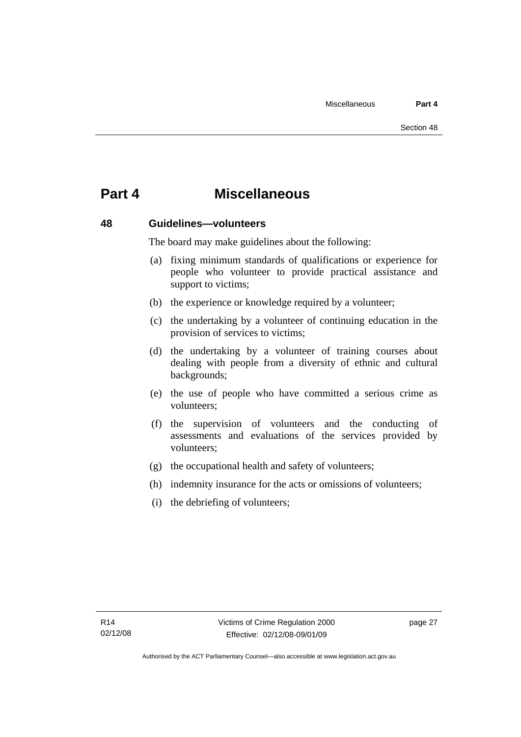# <span id="page-32-0"></span>**Part 4 Miscellaneous**

#### **48 Guidelines—volunteers**

The board may make guidelines about the following:

- (a) fixing minimum standards of qualifications or experience for people who volunteer to provide practical assistance and support to victims:
- (b) the experience or knowledge required by a volunteer;
- (c) the undertaking by a volunteer of continuing education in the provision of services to victims;
- (d) the undertaking by a volunteer of training courses about dealing with people from a diversity of ethnic and cultural backgrounds;
- (e) the use of people who have committed a serious crime as volunteers;
- (f) the supervision of volunteers and the conducting of assessments and evaluations of the services provided by volunteers;
- (g) the occupational health and safety of volunteers;
- (h) indemnity insurance for the acts or omissions of volunteers;
- (i) the debriefing of volunteers;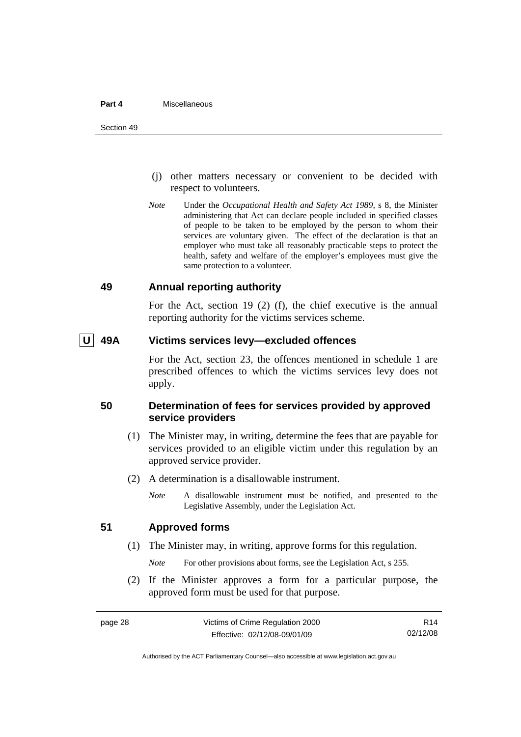#### <span id="page-33-0"></span>**Part 4** Miscellaneous

- (j) other matters necessary or convenient to be decided with respect to volunteers.
- *Note* Under the *Occupational Health and Safety Act 1989*, s 8, the Minister administering that Act can declare people included in specified classes of people to be taken to be employed by the person to whom their services are voluntary given. The effect of the declaration is that an employer who must take all reasonably practicable steps to protect the health, safety and welfare of the employer's employees must give the same protection to a volunteer.

#### **49 Annual reporting authority**

For the Act, section 19 (2) (f), the chief executive is the annual reporting authority for the victims services scheme.

## **U 49A Victims services levy—excluded offences**

For the Act, section 23, the offences mentioned in schedule 1 are prescribed offences to which the victims services levy does not apply.

## **50 Determination of fees for services provided by approved service providers**

- (1) The Minister may, in writing, determine the fees that are payable for services provided to an eligible victim under this regulation by an approved service provider.
- (2) A determination is a disallowable instrument.
	- *Note* A disallowable instrument must be notified, and presented to the Legislative Assembly, under the Legislation Act.

## **51 Approved forms**

(1) The Minister may, in writing, approve forms for this regulation.

*Note* For other provisions about forms, see the Legislation Act, s 255.

 (2) If the Minister approves a form for a particular purpose, the approved form must be used for that purpose.

R14 02/12/08

Authorised by the ACT Parliamentary Counsel—also accessible at www.legislation.act.gov.au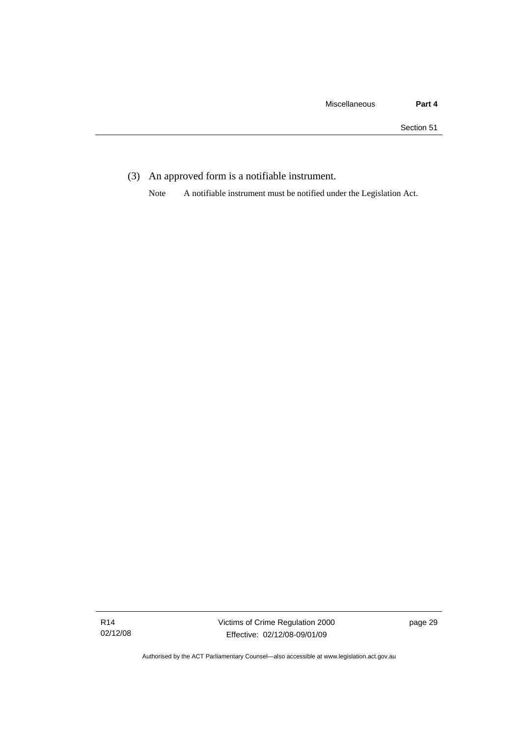(3) An approved form is a notifiable instrument.

Note A notifiable instrument must be notified under the Legislation Act.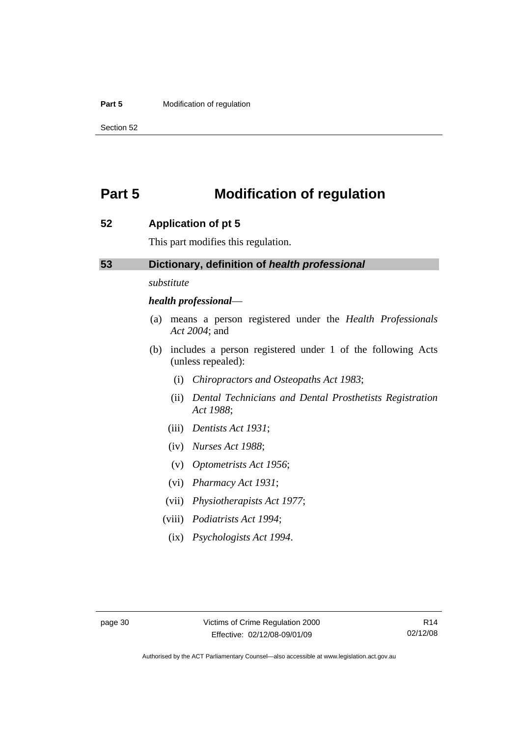#### <span id="page-35-0"></span>**Part 5 Modification of regulation**

Section 52

# **Part 5 Modification of regulation**

#### **52 Application of pt 5**

This part modifies this regulation.

## **53 Dictionary, definition of** *health professional*

*substitute* 

#### *health professional*—

- (a) means a person registered under the *Health Professionals Act 2004*; and
- (b) includes a person registered under 1 of the following Acts (unless repealed):
	- (i) *Chiropractors and Osteopaths Act 1983*;
	- (ii) *Dental Technicians and Dental Prosthetists Registration Act 1988*;
	- (iii) *Dentists Act 1931*;
	- (iv) *Nurses Act 1988*;
	- (v) *Optometrists Act 1956*;
	- (vi) *Pharmacy Act 1931*;
	- (vii) *Physiotherapists Act 1977*;
	- (viii) *Podiatrists Act 1994*;
		- (ix) *Psychologists Act 1994*.

Authorised by the ACT Parliamentary Counsel—also accessible at www.legislation.act.gov.au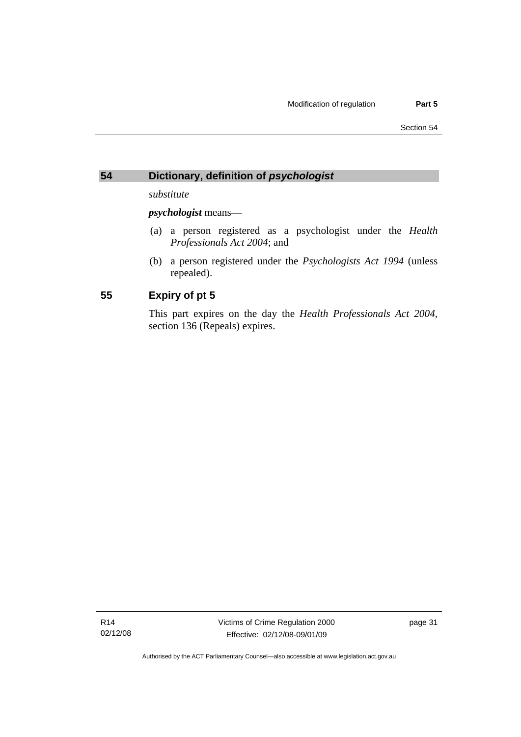# <span id="page-36-0"></span>**54 Dictionary, definition of** *psychologist*

*substitute* 

*psychologist* means—

- (a) a person registered as a psychologist under the *Health Professionals Act 2004*; and
- (b) a person registered under the *Psychologists Act 1994* (unless repealed).

# **55 Expiry of pt 5**

This part expires on the day the *Health Professionals Act 2004*, section 136 (Repeals) expires.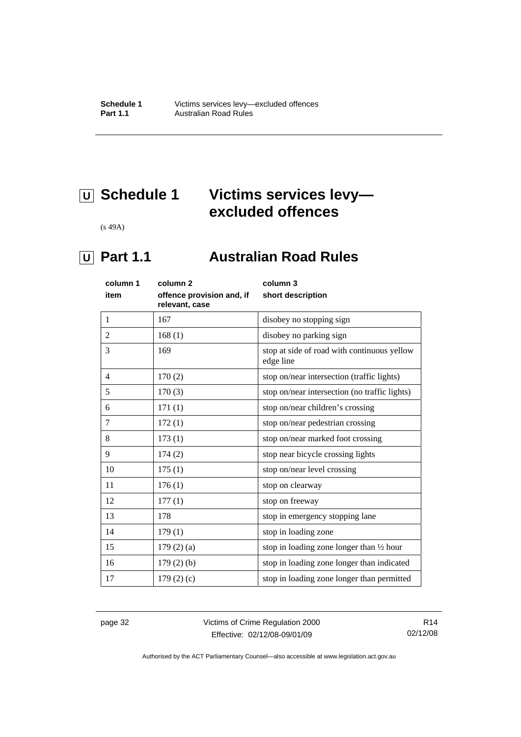# <span id="page-37-0"></span> **U Schedule 1 Victims services levy excluded offences**

(s 49A)

# *<u>U</u>* Part 1.1 **Australian Road Rules**

| column 1       | column 2                                    | column 3                                                 |
|----------------|---------------------------------------------|----------------------------------------------------------|
| item           | offence provision and, if<br>relevant, case | short description                                        |
| 1              | 167                                         | disobey no stopping sign                                 |
| $\overline{2}$ | 168(1)                                      | disobey no parking sign                                  |
| 3              | 169                                         | stop at side of road with continuous yellow<br>edge line |
| 4              | 170(2)                                      | stop on/near intersection (traffic lights)               |
| 5              | 170(3)                                      | stop on/near intersection (no traffic lights)            |
| 6              | 171(1)                                      | stop on/near children's crossing                         |
| 7              | 172(1)                                      | stop on/near pedestrian crossing                         |
| 8              | 173(1)                                      | stop on/near marked foot crossing                        |
| 9              | 174(2)                                      | stop near bicycle crossing lights                        |
| 10             | 175(1)                                      | stop on/near level crossing                              |
| 11             | 176(1)                                      | stop on clearway                                         |
| 12             | 177(1)                                      | stop on freeway                                          |
| 13             | 178                                         | stop in emergency stopping lane                          |
| 14             | 179(1)                                      | stop in loading zone                                     |
| 15             | 179(2)(a)                                   | stop in loading zone longer than 1/2 hour                |
| 16             | $179(2)$ (b)                                | stop in loading zone longer than indicated               |
| 17             | 179(2)(c)                                   | stop in loading zone longer than permitted               |

page 32 Victims of Crime Regulation 2000 Effective: 02/12/08-09/01/09

R14 02/12/08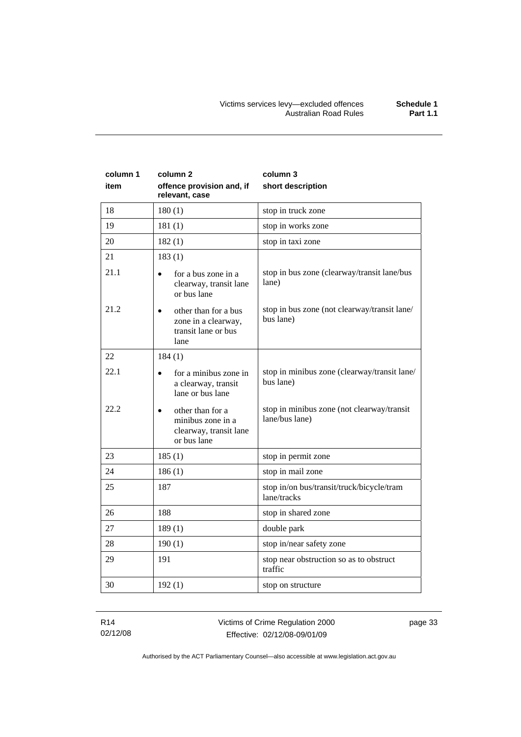| column 1<br>item | column <sub>2</sub><br>offence provision and, if<br>relevant, case             | column 3<br>short description                                |
|------------------|--------------------------------------------------------------------------------|--------------------------------------------------------------|
| 18               | 180(1)                                                                         | stop in truck zone                                           |
| 19               | 181(1)                                                                         | stop in works zone                                           |
| 20               | 182(1)                                                                         | stop in taxi zone                                            |
| 21               | 183(1)                                                                         |                                                              |
| 21.1             | for a bus zone in a<br>clearway, transit lane<br>or bus lane                   | stop in bus zone (clearway/transit lane/bus<br>lane)         |
| 21.2             | other than for a bus<br>zone in a clearway,<br>transit lane or bus<br>lane     | stop in bus zone (not clearway/transit lane/<br>bus lane)    |
| 22               | 184(1)                                                                         |                                                              |
| 22.1             | for a minibus zone in<br>a clearway, transit<br>lane or bus lane               | stop in minibus zone (clearway/transit lane/<br>bus lane)    |
| 22.2             | other than for a<br>minibus zone in a<br>clearway, transit lane<br>or bus lane | stop in minibus zone (not clearway/transit<br>lane/bus lane) |
| 23               | 185(1)                                                                         | stop in permit zone                                          |
| 24               | 186(1)                                                                         | stop in mail zone                                            |
| 25               | 187                                                                            | stop in/on bus/transit/truck/bicycle/tram<br>lane/tracks     |
| 26               | 188                                                                            | stop in shared zone                                          |
| 27               | 189(1)                                                                         | double park                                                  |
| 28               | 190(1)                                                                         | stop in/near safety zone                                     |
| 29               | 191                                                                            | stop near obstruction so as to obstruct<br>traffic           |
| 30               | 192(1)                                                                         | stop on structure                                            |

R14 02/12/08 page 33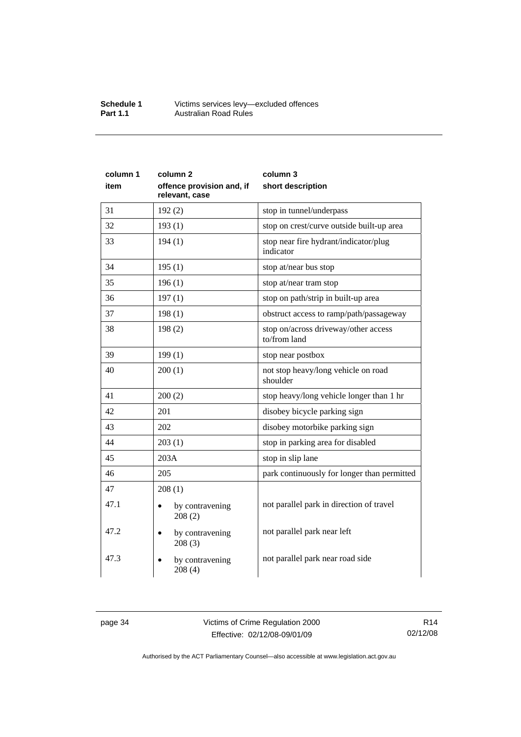#### **Schedule 1** Victims services levy—excluded offences **Part 1.1 Australian Road Rules**

| column 1<br>item | column 2<br>offence provision and, if<br>relevant, case | column 3<br>short description                        |
|------------------|---------------------------------------------------------|------------------------------------------------------|
| 31               | 192(2)                                                  | stop in tunnel/underpass                             |
| 32               | 193(1)                                                  | stop on crest/curve outside built-up area            |
| 33               | 194(1)                                                  | stop near fire hydrant/indicator/plug<br>indicator   |
| 34               | 195(1)                                                  | stop at/near bus stop                                |
| 35               | 196(1)                                                  | stop at/near tram stop                               |
| 36               | 197(1)                                                  | stop on path/strip in built-up area                  |
| 37               | 198(1)                                                  | obstruct access to ramp/path/passageway              |
| 38               | 198(2)                                                  | stop on/across driveway/other access<br>to/from land |
| 39               | 199(1)                                                  | stop near postbox                                    |
| 40               | 200(1)                                                  | not stop heavy/long vehicle on road<br>shoulder      |
| 41               | 200(2)                                                  | stop heavy/long vehicle longer than 1 hr             |
| 42               | 201                                                     | disobey bicycle parking sign                         |
| 43               | 202                                                     | disobey motorbike parking sign                       |
| 44               | 203(1)                                                  | stop in parking area for disabled                    |
| 45               | 203A                                                    | stop in slip lane                                    |
| 46               | 205                                                     | park continuously for longer than permitted          |
| 47               | 208(1)                                                  |                                                      |
| 47.1             | by contravening<br>208(2)                               | not parallel park in direction of travel             |
| 47.2             | by contravening<br>208(3)                               | not parallel park near left                          |
| 47.3             | by contravening<br>208(4)                               | not parallel park near road side                     |

page 34 Victims of Crime Regulation 2000 Effective: 02/12/08-09/01/09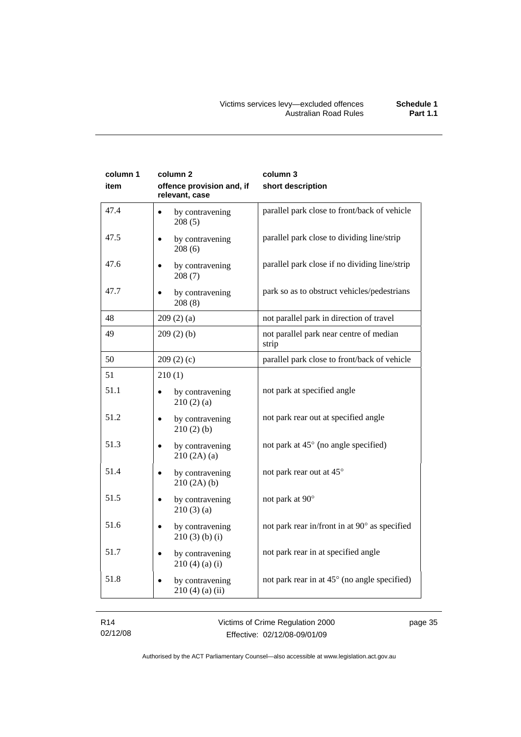| column 1<br>item | column 2<br>offence provision and, if<br>relevant, case | column 3<br>short description                    |
|------------------|---------------------------------------------------------|--------------------------------------------------|
| 47.4             | by contravening<br>208(5)                               | parallel park close to front/back of vehicle     |
| 47.5             | by contravening<br>208(6)                               | parallel park close to dividing line/strip       |
| 47.6             | by contravening<br>208(7)                               | parallel park close if no dividing line/strip    |
| 47.7             | by contravening<br>208(8)                               | park so as to obstruct vehicles/pedestrians      |
| 48               | 209(2)(a)                                               | not parallel park in direction of travel         |
| 49               | 209(2)(b)                                               | not parallel park near centre of median<br>strip |
| 50               | 209(2)(c)                                               | parallel park close to front/back of vehicle     |
| 51               | 210(1)                                                  |                                                  |
| 51.1             | by contravening<br>210(2)(a)                            | not park at specified angle                      |
| 51.2             | by contravening<br>210(2)(b)                            | not park rear out at specified angle             |
| 51.3             | by contravening<br>$\bullet$<br>210(2A)(a)              | not park at 45° (no angle specified)             |
| 51.4             | by contravening<br>210(2A)(b)                           | not park rear out at 45°                         |
| 51.5             | by contravening<br>$\bullet$<br>210(3)(a)               | not park at 90°                                  |
| 51.6             | by contravening<br>$210(3)$ (b) (i)                     | not park rear in/front in at 90° as specified    |
| 51.7             | by contravening<br>210(4)(a)(i)                         | not park rear in at specified angle              |
| 51.8             | by contravening<br>$210(4)$ (a) (ii)                    | not park rear in at 45° (no angle specified)     |

R14 02/12/08 Victims of Crime Regulation 2000 Effective: 02/12/08-09/01/09

page 35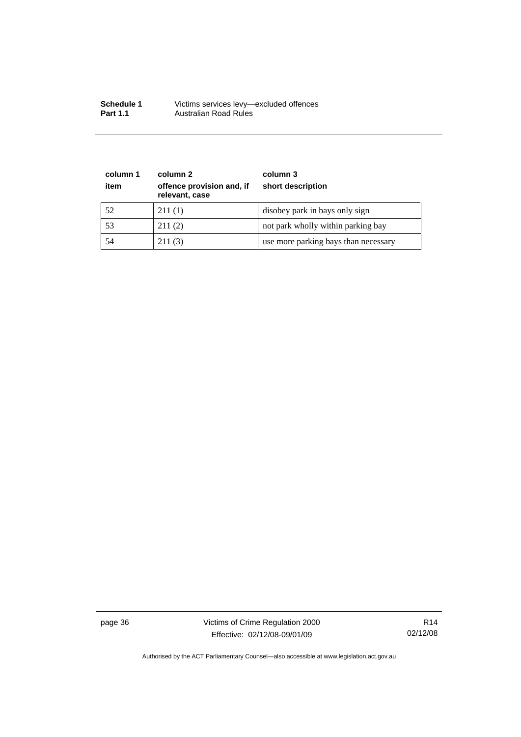| <b>Schedule 1</b> | Victims services levy-excluded offences |
|-------------------|-----------------------------------------|
| <b>Part 1.1</b>   | Australian Road Rules                   |

| column 1<br>item | column 2<br>offence provision and, if<br>relevant, case | column 3<br>short description        |
|------------------|---------------------------------------------------------|--------------------------------------|
| 52               | 211(1)                                                  | disobey park in bays only sign       |
| 53               | 211(2)                                                  | not park wholly within parking bay   |
| 54               | 211(3)                                                  | use more parking bays than necessary |

page 36 Victims of Crime Regulation 2000 Effective: 02/12/08-09/01/09

R14 02/12/08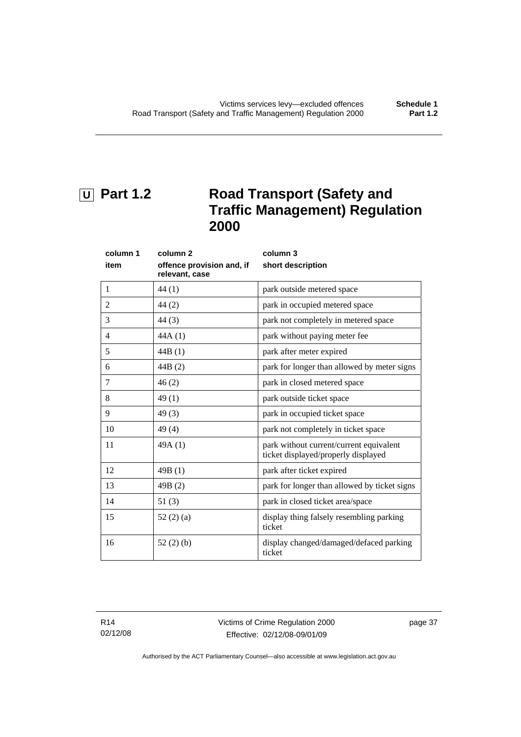# <span id="page-42-0"></span>**U** Part 1.2 Road Transport (Safety and **Traffic Management) Regulation 2000**

| column 1       | column <sub>2</sub>                         | column 3                                                                       |
|----------------|---------------------------------------------|--------------------------------------------------------------------------------|
| item           | offence provision and, if<br>relevant, case | short description                                                              |
| $\mathbf{1}$   | 44 (1)                                      | park outside metered space                                                     |
| $\overline{2}$ | 44(2)                                       | park in occupied metered space                                                 |
| 3              | 44(3)                                       | park not completely in metered space                                           |
| 4              | 44A(1)                                      | park without paying meter fee                                                  |
| 5              | 44B(1)                                      | park after meter expired                                                       |
| 6              | 44B (2)                                     | park for longer than allowed by meter signs                                    |
| 7              | 46(2)                                       | park in closed metered space                                                   |
| 8              | 49(1)                                       | park outside ticket space                                                      |
| 9              | 49(3)                                       | park in occupied ticket space                                                  |
| 10             | 49(4)                                       | park not completely in ticket space                                            |
| 11             | 49A(1)                                      | park without current/current equivalent<br>ticket displayed/properly displayed |
| 12             | 49B(1)                                      | park after ticket expired                                                      |
| 13             | 49B(2)                                      | park for longer than allowed by ticket signs                                   |
| 14             | 51(3)                                       | park in closed ticket area/space                                               |
| 15             | 52(2)(a)                                    | display thing falsely resembling parking<br>ticket                             |
| 16             | 52(2)(b)                                    | display changed/damaged/defaced parking<br>ticket                              |

R14 02/12/08 Victims of Crime Regulation 2000 Effective: 02/12/08-09/01/09

page 37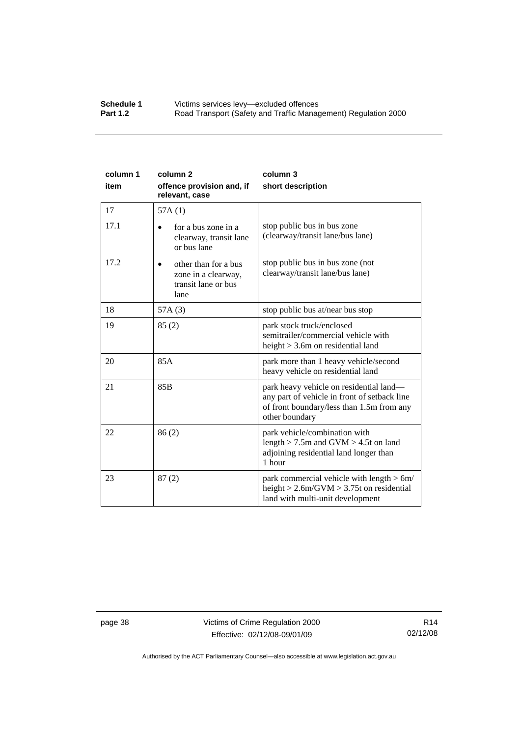#### **Schedule 1 Victims services levy—excluded offences**<br>**Part 1.2 Road Transport (Safety and Traffic Manad** Road Transport (Safety and Traffic Management) Regulation 2000

| column 1<br>item | column <sub>2</sub><br>offence provision and, if<br>relevant, case         | column 3<br>short description                                                                                                                          |
|------------------|----------------------------------------------------------------------------|--------------------------------------------------------------------------------------------------------------------------------------------------------|
| 17               | 57A(1)                                                                     |                                                                                                                                                        |
| 17.1             | for a bus zone in a<br>clearway, transit lane<br>or bus lane               | stop public bus in bus zone<br>(clearway/transit lane/bus lane)                                                                                        |
| 17.2             | other than for a bus<br>zone in a clearway,<br>transit lane or bus<br>lane | stop public bus in bus zone (not<br>clearway/transit lane/bus lane)                                                                                    |
| 18               | 57A(3)                                                                     | stop public bus at/near bus stop                                                                                                                       |
| 19               | 85(2)                                                                      | park stock truck/enclosed<br>semitrailer/commercial vehicle with<br>height $>$ 3.6m on residential land                                                |
| 20               | 85A                                                                        | park more than 1 heavy vehicle/second<br>heavy vehicle on residential land                                                                             |
| 21               | 85 <sub>B</sub>                                                            | park heavy vehicle on residential land—<br>any part of vehicle in front of setback line<br>of front boundary/less than 1.5m from any<br>other boundary |
| 22               | 86(2)                                                                      | park vehicle/combination with<br>length $> 7.5$ m and GVM $> 4.5$ t on land<br>adjoining residential land longer than<br>1 hour                        |
| 23               | 87(2)                                                                      | park commercial vehicle with length $> 6m/$<br>height $> 2.6$ m/GVM $> 3.75$ t on residential<br>land with multi-unit development                      |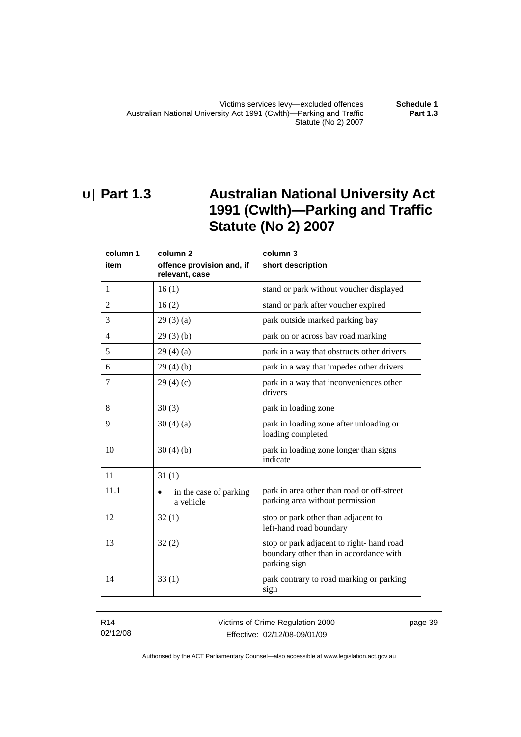# <span id="page-44-0"></span> **U Part 1.3 Australian National University Act 1991 (Cwlth)—Parking and Traffic Statute (No 2) 2007**

| column 1 | column <sub>2</sub>                         | column 3                                                                                           |
|----------|---------------------------------------------|----------------------------------------------------------------------------------------------------|
| item     | offence provision and, if<br>relevant, case | short description                                                                                  |
| 1        | 16(1)                                       | stand or park without voucher displayed                                                            |
| 2        | 16(2)                                       | stand or park after voucher expired                                                                |
| 3        | 29(3)(a)                                    | park outside marked parking bay                                                                    |
| 4        | 29(3)(b)                                    | park on or across bay road marking                                                                 |
| 5        | 29(4)(a)                                    | park in a way that obstructs other drivers                                                         |
| 6        | 29(4)(b)                                    | park in a way that impedes other drivers                                                           |
| 7        | 29(4)(c)                                    | park in a way that inconveniences other<br>drivers                                                 |
| 8        | 30(3)                                       | park in loading zone                                                                               |
| 9        | 30(4)(a)                                    | park in loading zone after unloading or<br>loading completed                                       |
| 10       | 30(4)(b)                                    | park in loading zone longer than signs<br>indicate                                                 |
| 11       | 31(1)                                       |                                                                                                    |
| 11.1     | in the case of parking<br>a vehicle         | park in area other than road or off-street<br>parking area without permission                      |
| 12       | 32(1)                                       | stop or park other than adjacent to<br>left-hand road boundary                                     |
| 13       | 32(2)                                       | stop or park adjacent to right-hand road<br>boundary other than in accordance with<br>parking sign |
| 14       | 33(1)                                       | park contrary to road marking or parking<br>sign                                                   |

R14 02/12/08

page 39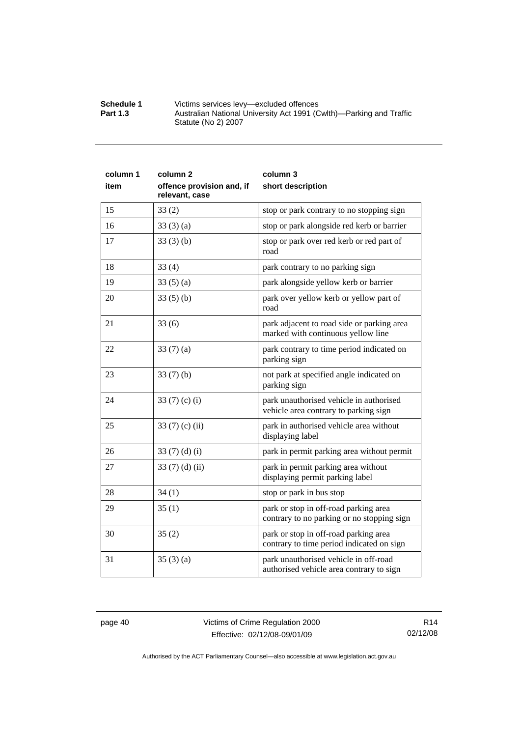| <b>Schedule 1</b> | Victims services levy-excluded offences                             |
|-------------------|---------------------------------------------------------------------|
| <b>Part 1.3</b>   | Australian National University Act 1991 (Cwlth)—Parking and Traffic |
|                   | Statute (No 2) 2007                                                 |

| column 1 | column <sub>2</sub>                         | column 3                                                                            |
|----------|---------------------------------------------|-------------------------------------------------------------------------------------|
| item     | offence provision and, if<br>relevant, case | short description                                                                   |
| 15       | 33(2)                                       | stop or park contrary to no stopping sign                                           |
| 16       | 33(3)(a)                                    | stop or park alongside red kerb or barrier                                          |
| 17       | 33(3)(b)                                    | stop or park over red kerb or red part of<br>road                                   |
| 18       | 33(4)                                       | park contrary to no parking sign                                                    |
| 19       | 33(5)(a)                                    | park alongside yellow kerb or barrier                                               |
| 20       | 33(5)(b)                                    | park over yellow kerb or yellow part of<br>road                                     |
| 21       | 33(6)                                       | park adjacent to road side or parking area<br>marked with continuous yellow line    |
| 22       | 33(7)(a)                                    | park contrary to time period indicated on<br>parking sign                           |
| 23       | 33(7)(b)                                    | not park at specified angle indicated on<br>parking sign                            |
| 24       | 33 $(7)$ $(c)$ $(i)$                        | park unauthorised vehicle in authorised<br>vehicle area contrary to parking sign    |
| 25       | 33 $(7)$ (c) (ii)                           | park in authorised vehicle area without<br>displaying label                         |
| 26       | 33 $(7)$ $(d)$ $(i)$                        | park in permit parking area without permit                                          |
| 27       | 33 $(7)$ $(d)$ $(ii)$                       | park in permit parking area without<br>displaying permit parking label              |
| 28       | 34(1)                                       | stop or park in bus stop                                                            |
| 29       | 35(1)                                       | park or stop in off-road parking area<br>contrary to no parking or no stopping sign |
| 30       | 35(2)                                       | park or stop in off-road parking area<br>contrary to time period indicated on sign  |
| 31       | 35(3)(a)                                    | park unauthorised vehicle in off-road<br>authorised vehicle area contrary to sign   |

page 40 Victims of Crime Regulation 2000 Effective: 02/12/08-09/01/09

R14 02/12/08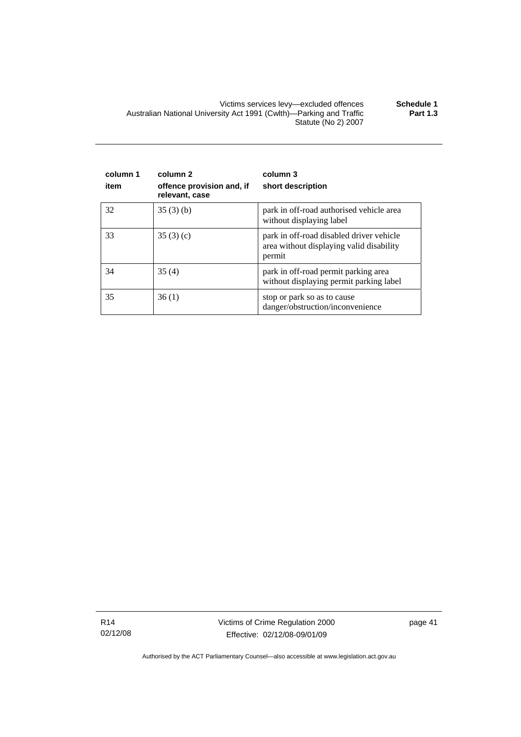Victims services levy—excluded offences **Schedule 1**  Australian National University Act 1991 (Cwlth)—Parking and Traffic Statute (No 2) 2007 **Part 1.3** 

| column 1<br>item | column 2<br>offence provision and, if<br>relevant, case | column 3<br>short description                                                                  |
|------------------|---------------------------------------------------------|------------------------------------------------------------------------------------------------|
| 32               | 35(3)(b)                                                | park in off-road authorised vehicle area<br>without displaying label                           |
| 33               | 35(3)(c)                                                | park in off-road disabled driver vehicle<br>area without displaying valid disability<br>permit |
| 34               | 35(4)                                                   | park in off-road permit parking area<br>without displaying permit parking label                |
| 35               | 36(1)                                                   | stop or park so as to cause<br>danger/obstruction/inconvenience                                |

R14 02/12/08 Victims of Crime Regulation 2000 Effective: 02/12/08-09/01/09

page 41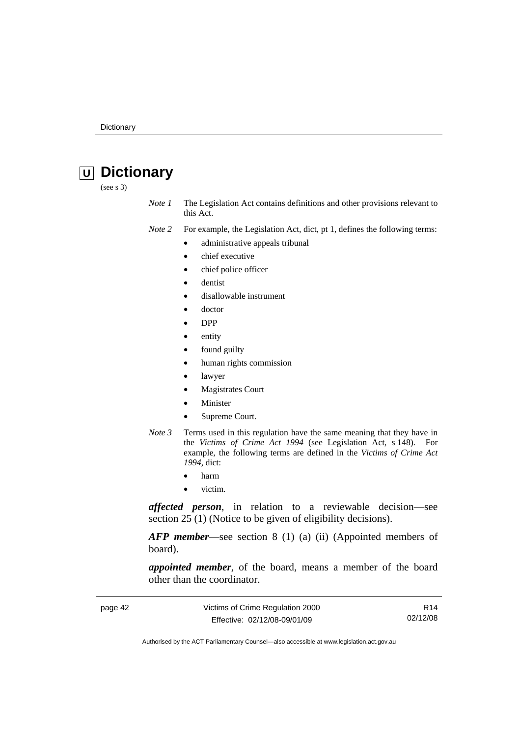# <span id="page-47-0"></span> **U Dictionary**

(see s 3)

*Note 1* The Legislation Act contains definitions and other provisions relevant to this Act.

*Note 2* For example, the Legislation Act, dict, pt 1, defines the following terms:

- administrative appeals tribunal
- chief executive
- chief police officer
- dentist
- disallowable instrument
- doctor
- DPP
- entity
- found guilty
- human rights commission
- lawyer
- **Magistrates Court**
- **Minister**
- Supreme Court.
- *Note 3* Terms used in this regulation have the same meaning that they have in the *Victims of Crime Act 1994* (see Legislation Act, s 148). For example, the following terms are defined in the *Victims of Crime Act 1994*, dict:
	- harm
	- victim.

*affected person*, in relation to a reviewable decision—see section 25 (1) (Notice to be given of eligibility decisions).

*AFP member*—see section 8 (1) (a) (ii) (Appointed members of board).

*appointed member*, of the board, means a member of the board other than the coordinator.

| page 42 | Victims of Crime Regulation 2000 | R14      |
|---------|----------------------------------|----------|
|         | Effective: 02/12/08-09/01/09     | 02/12/08 |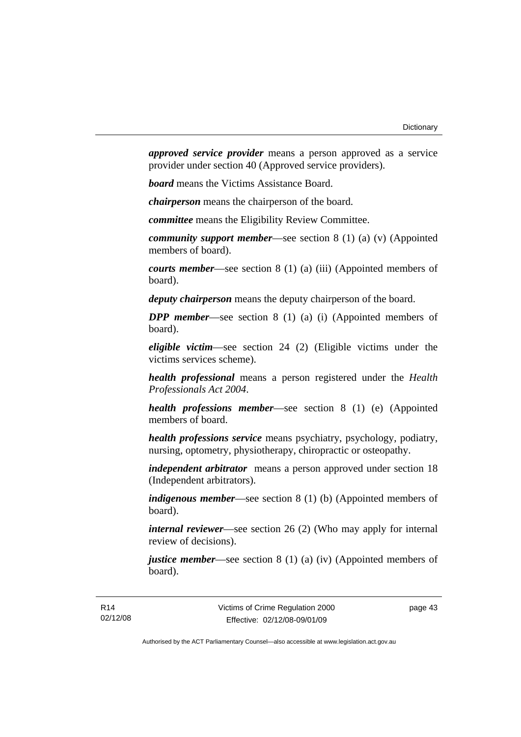*approved service provider* means a person approved as a service provider under section 40 (Approved service providers).

*board* means the Victims Assistance Board.

*chairperson* means the chairperson of the board.

*committee* means the Eligibility Review Committee.

*community support member*—see section 8 (1) (a) (v) (Appointed members of board).

*courts member*—see section 8 (1) (a) (iii) (Appointed members of board).

*deputy chairperson* means the deputy chairperson of the board.

*DPP member*—see section 8 (1) (a) (i) (Appointed members of board).

*eligible victim*—see section 24 (2) (Eligible victims under the victims services scheme).

*health professional* means a person registered under the *Health Professionals Act 2004*.

*health professions member*—see section 8 (1) (e) (Appointed members of board.

*health professions service* means psychiatry, psychology, podiatry, nursing, optometry, physiotherapy, chiropractic or osteopathy.

*independent arbitrator* means a person approved under section 18 (Independent arbitrators).

*indigenous member*—see section 8 (1) (b) (Appointed members of board).

*internal reviewer*—see section 26 (2) (Who may apply for internal review of decisions).

*justice member*—see section 8 (1) (a) (iv) (Appointed members of board).

page 43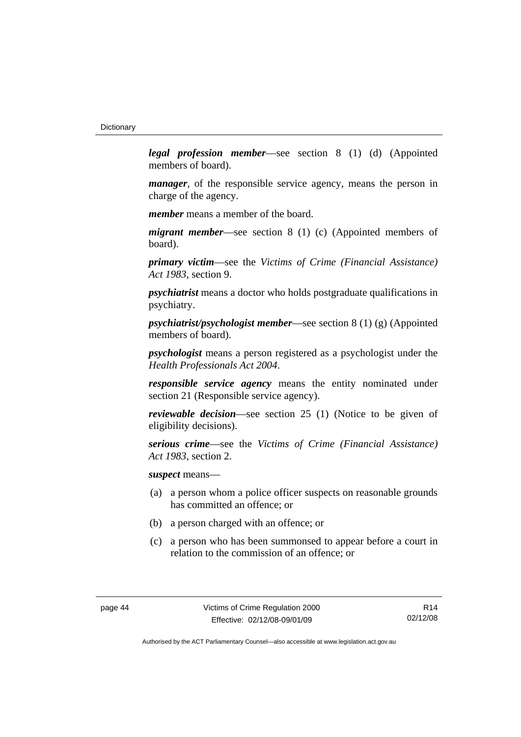*legal profession member*—see section 8 (1) (d) (Appointed members of board).

*manager*, of the responsible service agency, means the person in charge of the agency.

*member* means a member of the board.

*migrant member*—see section 8 (1) (c) (Appointed members of board).

*primary victim*—see the *Victims of Crime (Financial Assistance) Act 1983*, section 9.

*psychiatrist* means a doctor who holds postgraduate qualifications in psychiatry.

*psychiatrist/psychologist member*—see section 8 (1) (g) (Appointed members of board).

*psychologist* means a person registered as a psychologist under the *Health Professionals Act 2004*.

*responsible service agency* means the entity nominated under section 21 (Responsible service agency).

*reviewable decision*—see section 25 (1) (Notice to be given of eligibility decisions).

*serious crime*—see the *Victims of Crime (Financial Assistance) Act 1983*, section 2.

*suspect* means—

- (a) a person whom a police officer suspects on reasonable grounds has committed an offence; or
- (b) a person charged with an offence; or
- (c) a person who has been summonsed to appear before a court in relation to the commission of an offence; or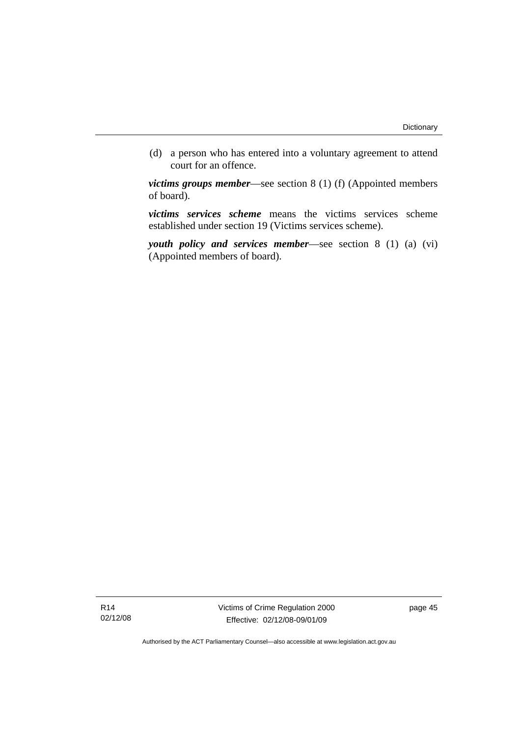(d) a person who has entered into a voluntary agreement to attend court for an offence.

*victims groups member*—see section 8 (1) (f) (Appointed members of board).

*victims services scheme* means the victims services scheme established under section 19 (Victims services scheme).

*youth policy and services member*—see section 8 (1) (a) (vi) (Appointed members of board).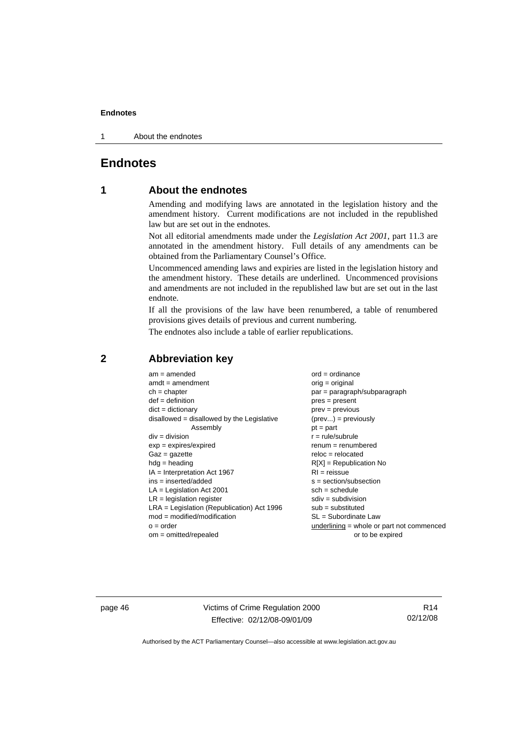<span id="page-51-0"></span>1 About the endnotes

# **Endnotes**

## **1 About the endnotes**

Amending and modifying laws are annotated in the legislation history and the amendment history. Current modifications are not included in the republished law but are set out in the endnotes.

Not all editorial amendments made under the *Legislation Act 2001*, part 11.3 are annotated in the amendment history. Full details of any amendments can be obtained from the Parliamentary Counsel's Office.

Uncommenced amending laws and expiries are listed in the legislation history and the amendment history. These details are underlined. Uncommenced provisions and amendments are not included in the republished law but are set out in the last endnote.

If all the provisions of the law have been renumbered, a table of renumbered provisions gives details of previous and current numbering.

The endnotes also include a table of earlier republications.

| $am = amended$                               | $ord = ordinance$                         |
|----------------------------------------------|-------------------------------------------|
| $amdt = amendment$                           | $orig = original$                         |
| $ch = chapter$                               | $par = paragraph/subparagraph$            |
| $def = definition$                           | $pres = present$                          |
| $dict = dictionary$                          | $prev = previous$                         |
| disallowed = disallowed by the Legislative   | $(\text{prev}) = \text{previously}$       |
| Assembly                                     | $pt = part$                               |
| $div = division$                             | $r = rule/subrule$                        |
| $exp = expires/expired$                      | $renum = renumbered$                      |
| $Gaz = gazette$                              | $reloc = relocated$                       |
| $hdg =$ heading                              | $R[X]$ = Republication No                 |
| $IA = Interpretation Act 1967$               | $RI = reissue$                            |
| $ins = inserted/added$                       | $s = section/subsection$                  |
| $LA =$ Legislation Act 2001                  | $sch = schedule$                          |
| $LR =$ legislation register                  | $sdiv = subdivision$                      |
| $LRA =$ Legislation (Republication) Act 1996 | $sub = substituted$                       |
| $mod = modified/modification$                | SL = Subordinate Law                      |
| $o = order$                                  | underlining = whole or part not commenced |
| $om = omitted/repealed$                      | or to be expired                          |
|                                              |                                           |

#### **2 Abbreviation key**

page 46 Victims of Crime Regulation 2000 Effective: 02/12/08-09/01/09

R14 02/12/08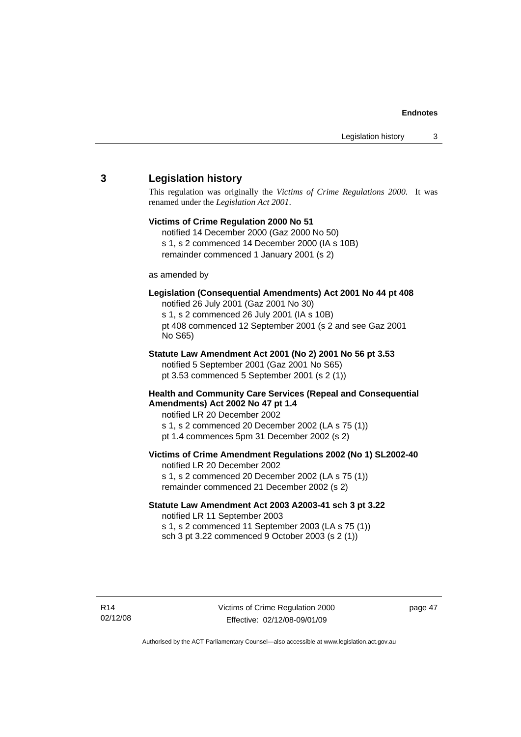#### <span id="page-52-0"></span>**3 Legislation history**

This regulation was originally the *Victims of Crime Regulations 2000*. It was renamed under the *Legislation Act 2001*.

# **Victims of Crime Regulation 2000 No 51**

notified 14 December 2000 (Gaz 2000 No 50) s 1, s 2 commenced 14 December 2000 (IA s 10B) remainder commenced 1 January 2001 (s 2)

#### as amended by

#### **Legislation (Consequential Amendments) Act 2001 No 44 pt 408**

notified 26 July 2001 (Gaz 2001 No 30) s 1, s 2 commenced 26 July 2001 (IA s 10B) pt 408 commenced 12 September 2001 (s 2 and see Gaz 2001 No S65)

# **Statute Law Amendment Act 2001 (No 2) 2001 No 56 pt 3.53**

notified 5 September 2001 (Gaz 2001 No S65) pt 3.53 commenced 5 September 2001 (s 2 (1))

#### **Health and Community Care Services (Repeal and Consequential Amendments) Act 2002 No 47 pt 1.4**

notified LR 20 December 2002

- s 1, s 2 commenced 20 December 2002 (LA s 75 (1))
- pt 1.4 commences 5pm 31 December 2002 (s 2)

#### **Victims of Crime Amendment Regulations 2002 (No 1) SL2002-40**

notified LR 20 December 2002 s 1, s 2 commenced 20 December 2002 (LA s 75 (1)) remainder commenced 21 December 2002 (s 2)

#### **Statute Law Amendment Act 2003 A2003-41 sch 3 pt 3.22**  notified LR 11 September 2003

s 1, s 2 commenced 11 September 2003 (LA s 75 (1)) sch 3 pt 3.22 commenced 9 October 2003 (s 2 (1))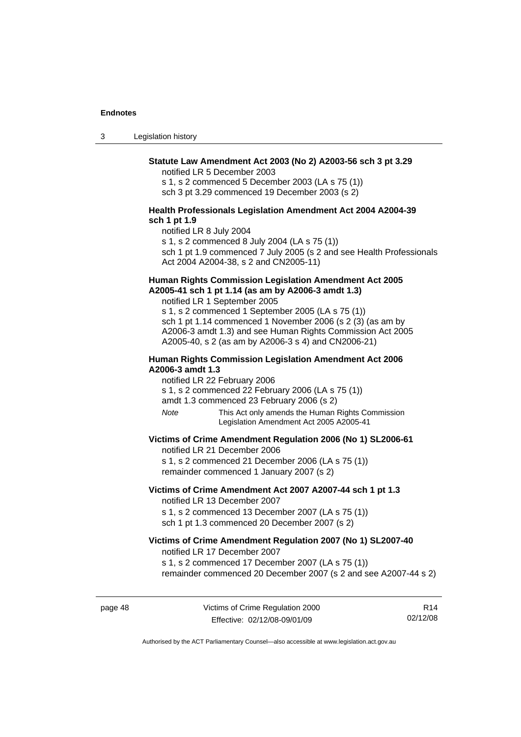3 Legislation history

#### **Statute Law Amendment Act 2003 (No 2) A2003-56 sch 3 pt 3.29**

notified LR 5 December 2003

s 1, s 2 commenced 5 December 2003 (LA s 75 (1)) sch 3 pt 3.29 commenced 19 December 2003 (s 2)

#### **Health Professionals Legislation Amendment Act 2004 A2004-39 sch 1 pt 1.9**

notified LR 8 July 2004 s 1, s 2 commenced 8 July 2004 (LA s 75 (1)) sch 1 pt 1.9 commenced 7 July 2005 (s 2 and see Health Professionals Act 2004 A2004-38, s 2 and CN2005-11)

#### **Human Rights Commission Legislation Amendment Act 2005 A2005-41 sch 1 pt 1.14 (as am by A2006-3 amdt 1.3)**

notified LR 1 September 2005 s 1, s 2 commenced 1 September 2005 (LA s 75 (1)) sch 1 pt 1.14 commenced 1 November 2006 (s 2 (3) (as am by A2006-3 amdt 1.3) and see Human Rights Commission Act 2005 A2005-40, s 2 (as am by A2006-3 s 4) and CN2006-21)

#### **Human Rights Commission Legislation Amendment Act 2006 A2006-3 amdt 1.3**

notified LR 22 February 2006

s 1, s 2 commenced 22 February 2006 (LA s 75 (1))

amdt 1.3 commenced 23 February 2006 (s 2)

*Note* This Act only amends the Human Rights Commission Legislation Amendment Act 2005 A2005-41

#### **Victims of Crime Amendment Regulation 2006 (No 1) SL2006-61**

notified LR 21 December 2006 s 1, s 2 commenced 21 December 2006 (LA s 75 (1))

remainder commenced 1 January 2007 (s 2)

#### **Victims of Crime Amendment Act 2007 A2007-44 sch 1 pt 1.3**  notified LR 13 December 2007

s 1, s 2 commenced 13 December 2007 (LA s 75 (1)) sch 1 pt 1.3 commenced 20 December 2007 (s 2)

#### **Victims of Crime Amendment Regulation 2007 (No 1) SL2007-40**  notified LR 17 December 2007

s 1, s 2 commenced 17 December 2007 (LA s 75 (1))

remainder commenced 20 December 2007 (s 2 and see A2007-44 s 2)

page 48 Victims of Crime Regulation 2000 Effective: 02/12/08-09/01/09

R14 02/12/08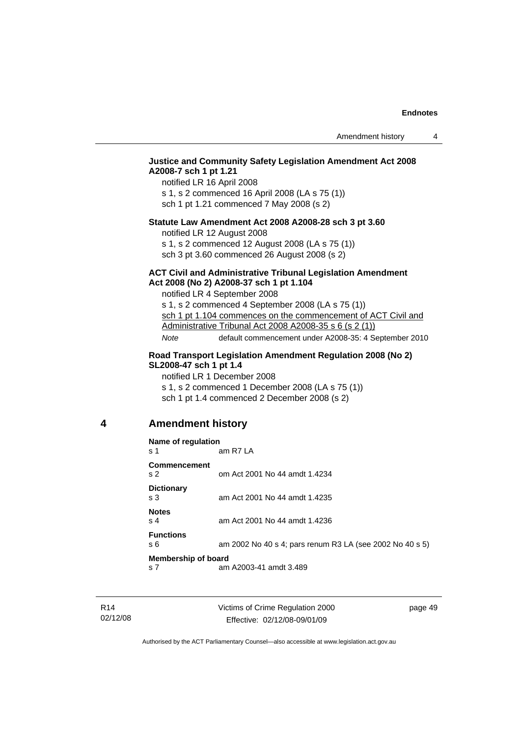#### <span id="page-54-0"></span>**Justice and Community Safety Legislation Amendment Act 2008 A2008-7 sch 1 pt 1.21**

notified LR 16 April 2008 s 1, s 2 commenced 16 April 2008 (LA s 75 (1)) sch 1 pt 1.21 commenced 7 May 2008 (s 2)

#### **Statute Law Amendment Act 2008 A2008-28 sch 3 pt 3.60**

notified LR 12 August 2008

s 1, s 2 commenced 12 August 2008 (LA s 75 (1)) sch 3 pt 3.60 commenced 26 August 2008 (s 2)

#### **ACT Civil and Administrative Tribunal Legislation Amendment Act 2008 (No 2) A2008-37 sch 1 pt 1.104**

notified LR 4 September 2008

s 1, s 2 commenced 4 September 2008 (LA s 75 (1)) sch 1 pt 1.104 commences on the commencement of ACT Civil and Administrative Tribunal Act 2008 A2008-35 s 6 (s 2 (1)) *Note* default commencement under A2008-35: 4 September 2010

#### **Road Transport Legislation Amendment Regulation 2008 (No 2) SL2008-47 sch 1 pt 1.4**

notified LR 1 December 2008 s 1, s 2 commenced 1 December 2008 (LA s 75 (1)) sch 1 pt 1.4 commenced 2 December 2008 (s 2)

#### **4 Amendment history**

| Name of regulation                    |                                                          |  |
|---------------------------------------|----------------------------------------------------------|--|
| s 1                                   | am R7 LA                                                 |  |
| <b>Commencement</b><br>s <sub>2</sub> | om Act 2001 No 44 amdt 1.4234                            |  |
| <b>Dictionary</b><br>s <sub>3</sub>   | am Act 2001 No 44 amdt 1.4235                            |  |
| <b>Notes</b><br>s <sub>4</sub>        | am Act 2001 No 44 amdt 1.4236                            |  |
| <b>Functions</b><br>s 6               | am 2002 No 40 s 4; pars renum R3 LA (see 2002 No 40 s 5) |  |
| <b>Membership of board</b>            |                                                          |  |
| s <sub>7</sub>                        | am A2003-41 amdt 3.489                                   |  |

Victims of Crime Regulation 2000 Effective: 02/12/08-09/01/09

page 49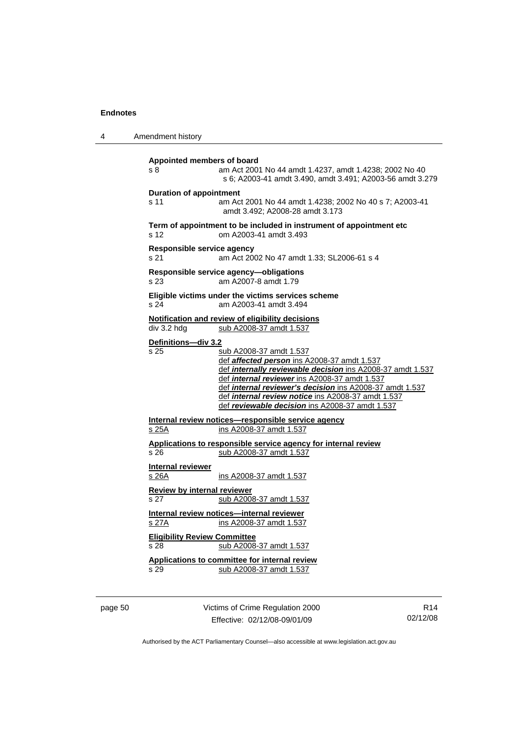|                 | Amendment history                                                                                                                                                                                                                                                                                                                                          |
|-----------------|------------------------------------------------------------------------------------------------------------------------------------------------------------------------------------------------------------------------------------------------------------------------------------------------------------------------------------------------------------|
| s 8             | Appointed members of board<br>am Act 2001 No 44 amdt 1.4237, amdt 1.4238; 2002 No 40<br>s 6; A2003-41 amdt 3.490, amdt 3.491; A2003-56 amdt 3.279                                                                                                                                                                                                          |
| s 11            | <b>Duration of appointment</b><br>am Act 2001 No 44 amdt 1.4238; 2002 No 40 s 7; A2003-41<br>amdt 3.492; A2008-28 amdt 3.173                                                                                                                                                                                                                               |
| s <sub>12</sub> | Term of appointment to be included in instrument of appointment etc<br>om A2003-41 amdt 3.493                                                                                                                                                                                                                                                              |
| s 21            | Responsible service agency<br>am Act 2002 No 47 amdt 1.33; SL2006-61 s 4                                                                                                                                                                                                                                                                                   |
| s 23            | Responsible service agency-obligations<br>am A2007-8 amdt 1.79                                                                                                                                                                                                                                                                                             |
| s 24            | Eligible victims under the victims services scheme<br>am A2003-41 amdt 3.494                                                                                                                                                                                                                                                                               |
|                 | Notification and review of eligibility decisions<br>div 3.2 hdg<br>sub A2008-37 amdt 1.537                                                                                                                                                                                                                                                                 |
| s 25            | sub A2008-37 amdt 1.537<br>def affected person ins A2008-37 amdt 1.537<br>def internally reviewable decision ins A2008-37 amdt 1.537<br>def internal reviewer ins A2008-37 amdt 1.537<br>def internal reviewer's decision ins A2008-37 amdt 1.537<br>def internal review notice ins A2008-37 amdt 1.537<br>def reviewable decision ins A2008-37 amdt 1.537 |
| s 25A           | Internal review notices-responsible service agency<br>ins A2008-37 amdt 1.537                                                                                                                                                                                                                                                                              |
| s 26            | Applications to responsible service agency for internal review<br>sub A2008-37 amdt 1.537                                                                                                                                                                                                                                                                  |
| s 26A           | <b>Internal reviewer</b><br>ins A2008-37 amdt 1.537                                                                                                                                                                                                                                                                                                        |
| s 27            | Review by internal reviewer<br>sub A2008-37 amdt 1.537                                                                                                                                                                                                                                                                                                     |
| <u>s 27A</u>    | Internal review notices-internal reviewer<br>ins A2008-37 amdt 1.537                                                                                                                                                                                                                                                                                       |
| s 28            | <b>Eligibility Review Committee</b><br>sub A2008-37 amdt 1.537                                                                                                                                                                                                                                                                                             |
| s 29            | Applications to committee for internal review<br>sub A2008-37 amdt 1.537                                                                                                                                                                                                                                                                                   |

page 50 Victims of Crime Regulation 2000 Effective: 02/12/08-09/01/09

R14 02/12/08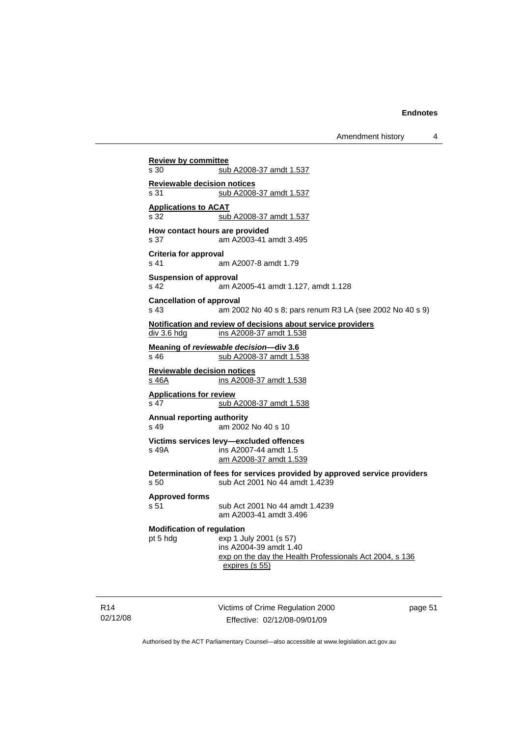Amendment history 4

**Review by committee** s 30 sub A2008-37 amdt 1.537 **Reviewable decision notices** s 31 sub A2008-37 amdt 1.537 **Applications to ACAT** s 32 sub A2008-37 amdt 1.537 **How contact hours are provided**  s 37 am A2003-41 amdt 3.495 **Criteria for approval**  s 41 am A2007-8 amdt 1.79 **Suspension of approval**  s 42 am A2005-41 amdt 1.127, amdt 1.128 **Cancellation of approval**  s 43 am 2002 No 40 s 8; pars renum R3 LA (see 2002 No 40 s 9) **Notification and review of decisions about service providers** div 3.6 hdg ins A2008-37 amdt 1.538 **Meaning of** *reviewable decision—div* **3.6**<br>s 46 sub A2008-37 amdt 1.5 sub A2008-37 amdt 1.538 **Reviewable decision notices** s 46A ins A2008-37 amdt 1.538 **Applications for review** s 47 sub A2008-37 amdt 1.538 **Annual reporting authority**  s 49 am 2002 No 40 s 10 **Victims services levy—excluded offences**  s 49A ins A2007-44 amdt 1.5 am A2008-37 amdt 1.539 **Determination of fees for services provided by approved service providers**  s 50 sub Act 2001 No 44 amdt 1.4239 **Approved forms**  s 51 sub Act 2001 No 44 amdt 1.4239 am A2003-41 amdt 3.496 **Modification of regulation**  pt 5 hdg exp 1 July 2001 (s 57) ins A2004-39 amdt 1.40 exp on the day the Health Professionals Act 2004, s 136 expires (s 55)

R14 02/12/08 Victims of Crime Regulation 2000 Effective: 02/12/08-09/01/09

page 51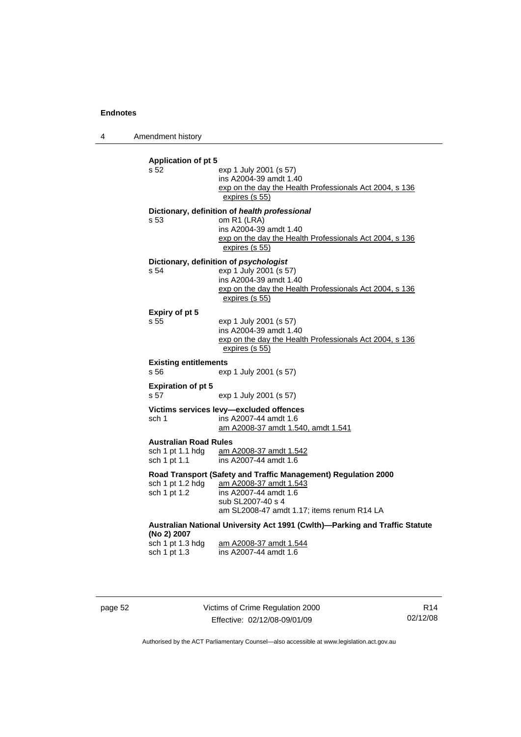4 Amendment history

| <b>Application of pt 5</b>   |                                                                             |  |  |
|------------------------------|-----------------------------------------------------------------------------|--|--|
| s 52                         | exp 1 July 2001 (s 57)                                                      |  |  |
|                              | ins A2004-39 amdt 1.40                                                      |  |  |
|                              | exp on the day the Health Professionals Act 2004, s 136                     |  |  |
|                              | expires (s 55)                                                              |  |  |
|                              | Dictionary, definition of health professional                               |  |  |
| s.53                         | om R1 (LRA)                                                                 |  |  |
|                              | ins A2004-39 amdt 1.40                                                      |  |  |
|                              | exp on the day the Health Professionals Act 2004, s 136                     |  |  |
|                              | expires (s 55)                                                              |  |  |
|                              | Dictionary, definition of psychologist                                      |  |  |
| s 54                         | exp 1 July 2001 (s 57)                                                      |  |  |
|                              | ins A2004-39 amdt 1.40                                                      |  |  |
|                              | exp on the day the Health Professionals Act 2004, s 136                     |  |  |
|                              | expires (s 55)                                                              |  |  |
| Expiry of pt 5               |                                                                             |  |  |
| s 55                         | exp 1 July 2001 (s 57)                                                      |  |  |
|                              | ins A2004-39 amdt 1.40                                                      |  |  |
|                              | exp on the day the Health Professionals Act 2004, s 136                     |  |  |
|                              | expires (s 55)                                                              |  |  |
| <b>Existing entitlements</b> |                                                                             |  |  |
| s 56                         | exp 1 July 2001 (s 57)                                                      |  |  |
| <b>Expiration of pt 5</b>    |                                                                             |  |  |
| s 57                         | exp 1 July 2001 (s 57)                                                      |  |  |
|                              | Victims services levy-excluded offences                                     |  |  |
| sch 1                        | ins A2007-44 amdt 1.6                                                       |  |  |
|                              | am A2008-37 amdt 1.540, amdt 1.541                                          |  |  |
| <b>Australian Road Rules</b> |                                                                             |  |  |
|                              | sch 1 pt 1.1 hdg am A2008-37 amdt 1.542                                     |  |  |
| sch 1 pt 1.1                 | ins A2007-44 amdt 1.6                                                       |  |  |
|                              | Road Transport (Safety and Traffic Management) Regulation 2000              |  |  |
| sch 1 pt 1.2 hdg             | am A2008-37 amdt 1.543                                                      |  |  |
| sch 1 pt 1.2                 | ins A2007-44 amdt 1.6                                                       |  |  |
|                              | sub SL2007-40 s 4                                                           |  |  |
|                              | am SL2008-47 amdt 1.17; items renum R14 LA                                  |  |  |
|                              | Australian National University Act 1991 (Cwlth)-Parking and Traffic Statute |  |  |
| (No 2) 2007                  |                                                                             |  |  |
| sch 1 pt 1.3 hdg             | am A2008-37 amdt 1.544                                                      |  |  |
| sch 1 pt 1.3                 | ins A2007-44 amdt 1.6                                                       |  |  |
|                              |                                                                             |  |  |
|                              |                                                                             |  |  |

page 52 Victims of Crime Regulation 2000 Effective: 02/12/08-09/01/09

R14 02/12/08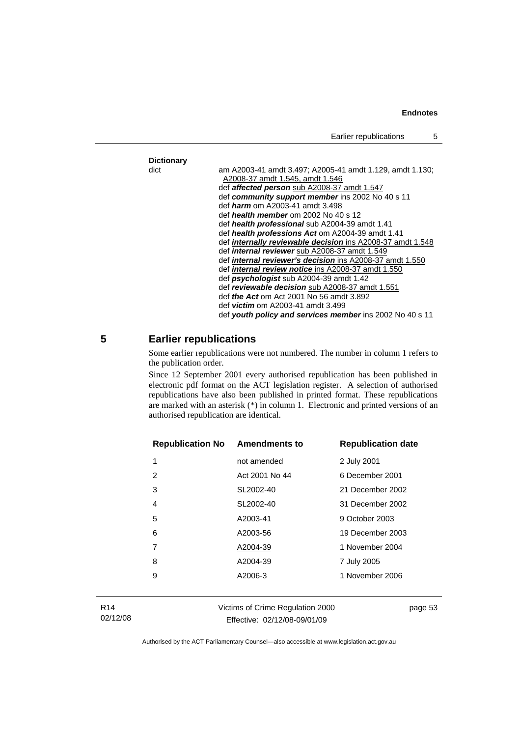<span id="page-58-0"></span>

|            | Earlier republications                                                                                                                                                                                                                                                                                                                                                                                                                                                                                                                                                                                                                                     | 5 |
|------------|------------------------------------------------------------------------------------------------------------------------------------------------------------------------------------------------------------------------------------------------------------------------------------------------------------------------------------------------------------------------------------------------------------------------------------------------------------------------------------------------------------------------------------------------------------------------------------------------------------------------------------------------------------|---|
|            |                                                                                                                                                                                                                                                                                                                                                                                                                                                                                                                                                                                                                                                            |   |
| Dictionary |                                                                                                                                                                                                                                                                                                                                                                                                                                                                                                                                                                                                                                                            |   |
| dict       | am A2003-41 amdt 3.497; A2005-41 amdt 1.129, amdt 1.130;<br>A2008-37 amdt 1.545, amdt 1.546<br>def <b>affected person</b> sub A2008-37 amdt 1.547<br>def community support member ins 2002 No 40 s 11<br>def <i>harm</i> om A2003-41 amdt 3.498<br>def health member om 2002 No 40 s 12<br>def health professional sub A2004-39 amdt 1.41<br>def health professions Act om A2004-39 amdt 1.41<br>def <i>internally reviewable decision</i> ins A2008-37 amdt 1.548<br>def <i>internal reviewer</i> sub A2008-37 amdt 1.549<br>def <i>internal reviewer's decision</i> ins A2008-37 amdt 1.550<br>def <i>internal review notice</i> ins A2008-37 amdt 1.550 |   |
|            | def <i>psychologist</i> sub A2004-39 amdt 1.42<br>def reviewable decision sub A2008-37 amdt 1.551                                                                                                                                                                                                                                                                                                                                                                                                                                                                                                                                                          |   |
|            | def <i>the Act</i> om Act 2001 No 56 amdt 3.892<br>def <i>victim</i> om A2003-41 amdt 3.499<br>def youth policy and services member ins 2002 No 40 s 11                                                                                                                                                                                                                                                                                                                                                                                                                                                                                                    |   |
|            |                                                                                                                                                                                                                                                                                                                                                                                                                                                                                                                                                                                                                                                            |   |

#### **5 Earlier republications**

Some earlier republications were not numbered. The number in column 1 refers to the publication order.

Since 12 September 2001 every authorised republication has been published in electronic pdf format on the ACT legislation register. A selection of authorised republications have also been published in printed format. These republications are marked with an asterisk (\*) in column 1. Electronic and printed versions of an authorised republication are identical.

| <b>Republication No Amendments to</b> |                | <b>Republication date</b> |
|---------------------------------------|----------------|---------------------------|
| 1                                     | not amended    | 2 July 2001               |
| 2                                     | Act 2001 No 44 | 6 December 2001           |
| 3                                     | SL2002-40      | 21 December 2002          |
| 4                                     | SL2002-40      | 31 December 2002          |
| 5                                     | A2003-41       | 9 October 2003            |
| 6                                     | A2003-56       | 19 December 2003          |
| 7                                     | A2004-39       | 1 November 2004           |
| 8                                     | A2004-39       | 7 July 2005               |
| 9                                     | A2006-3        | 1 November 2006           |
|                                       |                |                           |

Victims of Crime Regulation 2000 Effective: 02/12/08-09/01/09

page 53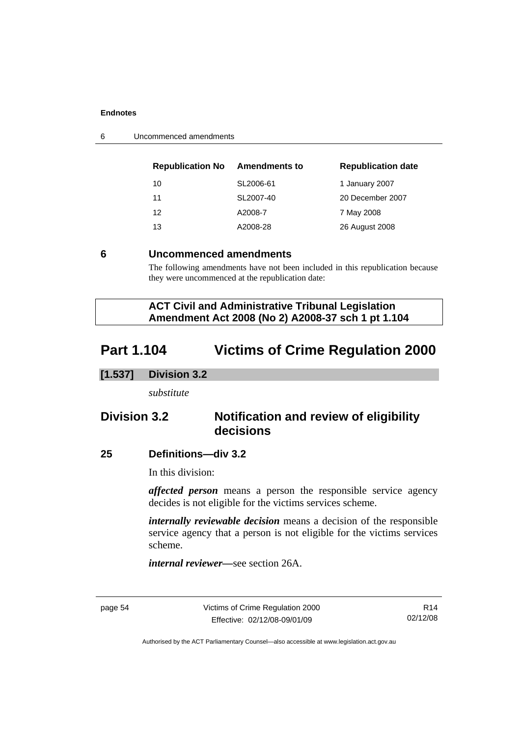<span id="page-59-0"></span>

| 6 | Uncommenced amendments |
|---|------------------------|
|---|------------------------|

| <b>Republication No</b> | <b>Amendments to</b> | <b>Republication date</b> |
|-------------------------|----------------------|---------------------------|
| 10                      | SL2006-61            | 1 January 2007            |
| 11                      | SL2007-40            | 20 December 2007          |
| 12                      | A2008-7              | 7 May 2008                |
| 13                      | A2008-28             | 26 August 2008            |

#### **6 Uncommenced amendments**

The following amendments have not been included in this republication because they were uncommenced at the republication date:

 **ACT Civil and Administrative Tribunal Legislation Amendment Act 2008 (No 2) A2008-37 sch 1 pt 1.104** 

# **Part 1.104 Victims of Crime Regulation 2000**

#### **[1.537] Division 3.2**

*substitute* 

# **Division 3.2 Notification and review of eligibility decisions**

#### **25 Definitions—div 3.2**

In this division:

*affected person* means a person the responsible service agency decides is not eligible for the victims services scheme.

*internally reviewable decision* means a decision of the responsible service agency that a person is not eligible for the victims services scheme.

*internal reviewer—*see section 26A.

page 54 Victims of Crime Regulation 2000 Effective: 02/12/08-09/01/09

R14 02/12/08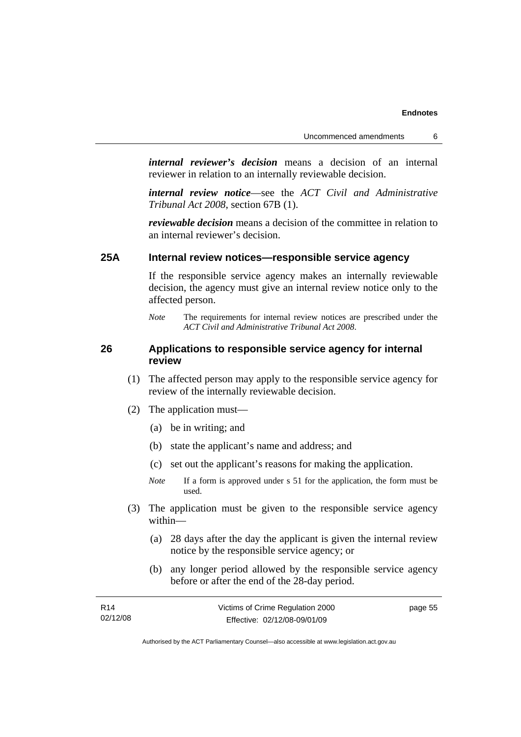*internal reviewer's decision* means a decision of an internal reviewer in relation to an internally reviewable decision.

*internal review notice*—see the *ACT Civil and Administrative Tribunal Act 2008*, section 67B (1).

*reviewable decision* means a decision of the committee in relation to an internal reviewer's decision.

## **25A Internal review notices—responsible service agency**

If the responsible service agency makes an internally reviewable decision, the agency must give an internal review notice only to the affected person.

#### **26 Applications to responsible service agency for internal review**

- (1) The affected person may apply to the responsible service agency for review of the internally reviewable decision.
- (2) The application must—
	- (a) be in writing; and
	- (b) state the applicant's name and address; and
	- (c) set out the applicant's reasons for making the application.
	- *Note* If a form is approved under s 51 for the application, the form must be used.
- (3) The application must be given to the responsible service agency within—
	- (a) 28 days after the day the applicant is given the internal review notice by the responsible service agency; or
	- (b) any longer period allowed by the responsible service agency before or after the end of the 28-day period.

| R <sub>14</sub> | Victims of Crime Regulation 2000 | page 55 |
|-----------------|----------------------------------|---------|
| 02/12/08        | Effective: 02/12/08-09/01/09     |         |

*Note* The requirements for internal review notices are prescribed under the *ACT Civil and Administrative Tribunal Act 2008*.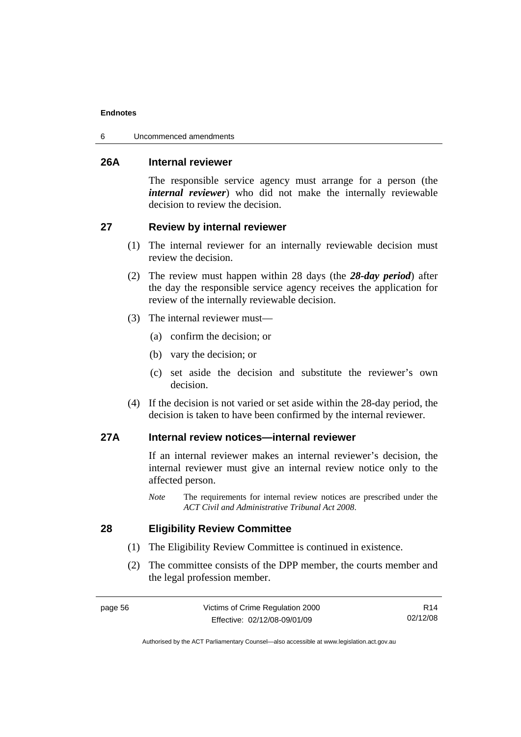6 Uncommenced amendments

#### **26A Internal reviewer**

The responsible service agency must arrange for a person (the *internal reviewer*) who did not make the internally reviewable decision to review the decision.

## **27 Review by internal reviewer**

- (1) The internal reviewer for an internally reviewable decision must review the decision.
- (2) The review must happen within 28 days (the *28-day period*) after the day the responsible service agency receives the application for review of the internally reviewable decision.
- (3) The internal reviewer must—
	- (a) confirm the decision; or
	- (b) vary the decision; or
	- (c) set aside the decision and substitute the reviewer's own decision.
- (4) If the decision is not varied or set aside within the 28-day period, the decision is taken to have been confirmed by the internal reviewer.

## **27A Internal review notices—internal reviewer**

If an internal reviewer makes an internal reviewer's decision, the internal reviewer must give an internal review notice only to the affected person.

*Note* The requirements for internal review notices are prescribed under the *ACT Civil and Administrative Tribunal Act 2008*.

## **28 Eligibility Review Committee**

- (1) The Eligibility Review Committee is continued in existence.
- (2) The committee consists of the DPP member, the courts member and the legal profession member.

R14 02/12/08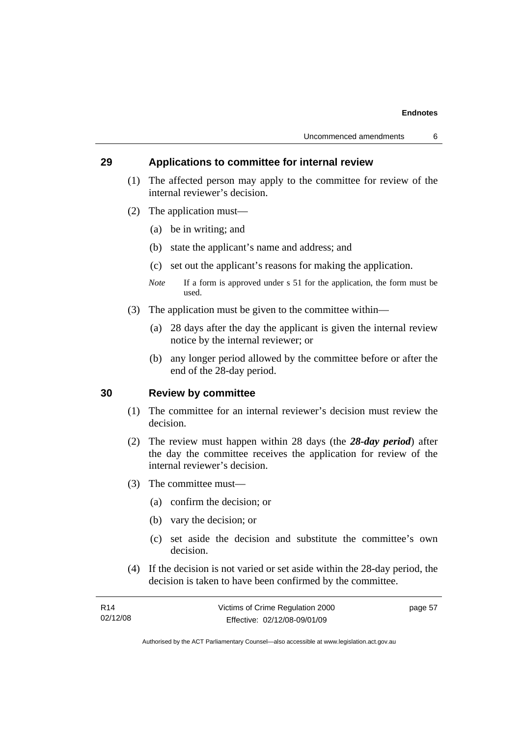#### **29 Applications to committee for internal review**

- (1) The affected person may apply to the committee for review of the internal reviewer's decision.
- (2) The application must—
	- (a) be in writing; and
	- (b) state the applicant's name and address; and
	- (c) set out the applicant's reasons for making the application.
	- *Note* If a form is approved under s 51 for the application, the form must be used.
- (3) The application must be given to the committee within—
	- (a) 28 days after the day the applicant is given the internal review notice by the internal reviewer; or
	- (b) any longer period allowed by the committee before or after the end of the 28-day period.

## **30 Review by committee**

- (1) The committee for an internal reviewer's decision must review the decision.
- (2) The review must happen within 28 days (the *28-day period*) after the day the committee receives the application for review of the internal reviewer's decision.
- (3) The committee must—
	- (a) confirm the decision; or
	- (b) vary the decision; or
	- (c) set aside the decision and substitute the committee's own decision.
- (4) If the decision is not varied or set aside within the 28-day period, the decision is taken to have been confirmed by the committee.

| R <sub>14</sub> | Victims of Crime Regulation 2000 | page 57 |
|-----------------|----------------------------------|---------|
| 02/12/08        | Effective: 02/12/08-09/01/09     |         |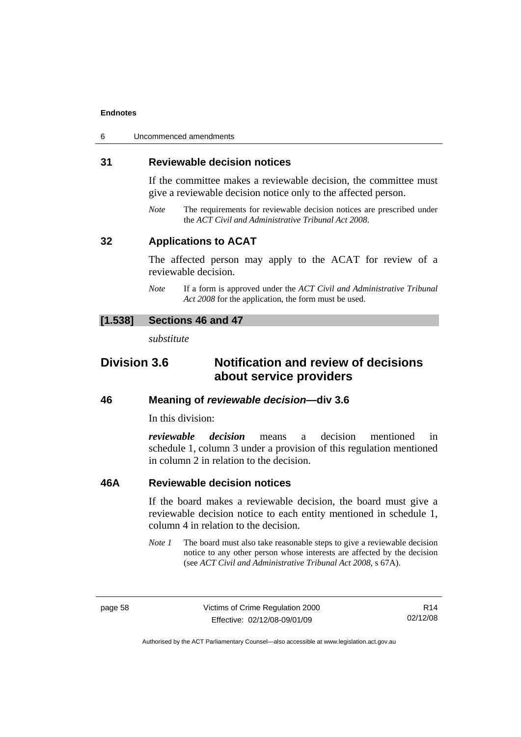| 6 | Uncommenced amendments |
|---|------------------------|
|---|------------------------|

#### **31 Reviewable decision notices**

If the committee makes a reviewable decision, the committee must give a reviewable decision notice only to the affected person.

*Note* The requirements for reviewable decision notices are prescribed under the *ACT Civil and Administrative Tribunal Act 2008*.

#### **32 Applications to ACAT**

The affected person may apply to the ACAT for review of a reviewable decision.

*Note* If a form is approved under the *ACT Civil and Administrative Tribunal Act 2008* for the application, the form must be used.

#### **[1.538] Sections 46 and 47**

*substitute* 

# **Division 3.6 Notification and review of decisions about service providers**

#### **46 Meaning of** *reviewable decision—***div 3.6**

In this division:

*reviewable decision* means a decision mentioned in schedule 1, column 3 under a provision of this regulation mentioned in column 2 in relation to the decision.

#### **46A Reviewable decision notices**

If the board makes a reviewable decision, the board must give a reviewable decision notice to each entity mentioned in schedule 1, column 4 in relation to the decision.

*Note 1* The board must also take reasonable steps to give a reviewable decision notice to any other person whose interests are affected by the decision (see *ACT Civil and Administrative Tribunal Act 2008*, s 67A).

R14 02/12/08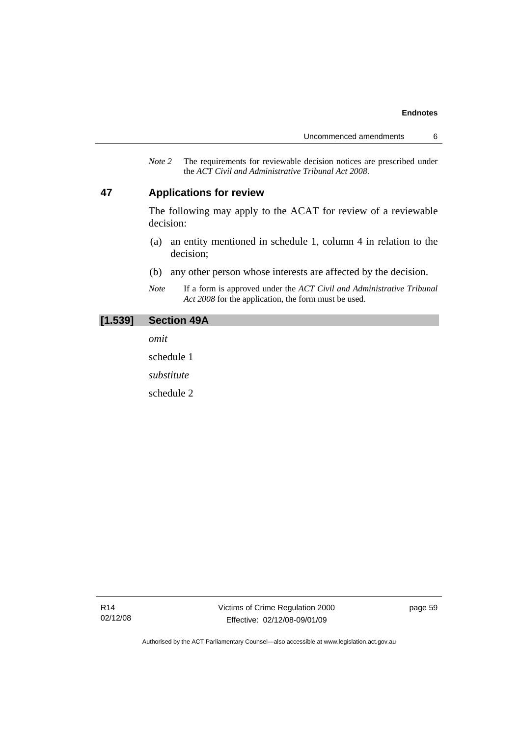*Note 2* The requirements for reviewable decision notices are prescribed under the *ACT Civil and Administrative Tribunal Act 2008*.

#### **47 Applications for review**

The following may apply to the ACAT for review of a reviewable decision:

- (a) an entity mentioned in schedule 1, column 4 in relation to the decision;
- (b) any other person whose interests are affected by the decision.
- *Note* If a form is approved under the *ACT Civil and Administrative Tribunal Act 2008* for the application, the form must be used.

#### **[1.539] Section 49A**

*omit* 

schedule 1

*substitute* 

schedule 2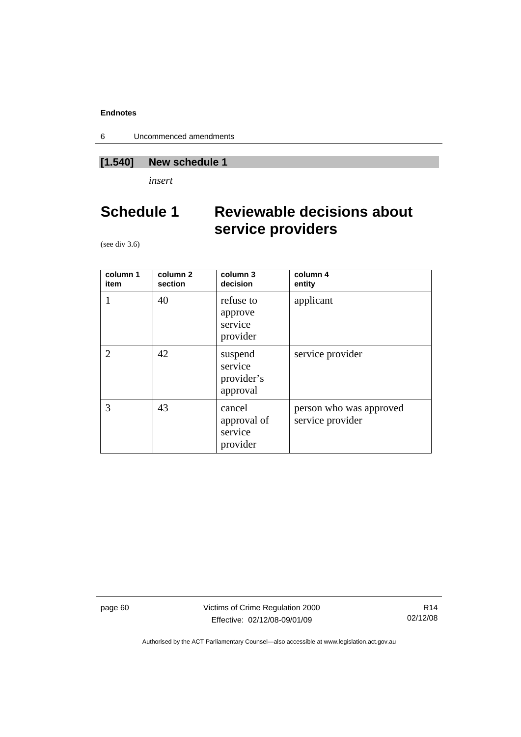6 Uncommenced amendments

# **[1.540] New schedule 1**

*insert* 

# **Schedule 1 Reviewable decisions about service providers**

(see div 3.6)

| column 1<br>item | column <sub>2</sub><br>section | column 3<br>decision                         | column 4<br>entity                          |
|------------------|--------------------------------|----------------------------------------------|---------------------------------------------|
|                  | 40                             | refuse to<br>approve<br>service<br>provider  | applicant                                   |
| 2                | 42                             | suspend<br>service<br>provider's<br>approval | service provider                            |
| 3                | 43                             | cancel<br>approval of<br>service<br>provider | person who was approved<br>service provider |

page 60 Victims of Crime Regulation 2000 Effective: 02/12/08-09/01/09

R14 02/12/08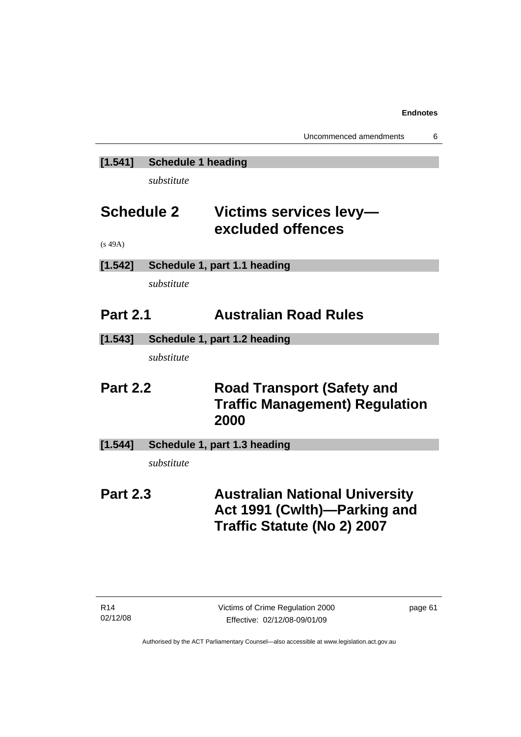# **[1.541] Schedule 1 heading**

*substitute* 

# **Schedule 2 Victims services levy excluded offences**

(s 49A)

# **[1.542] Schedule 1, part 1.1 heading**

*substitute* 

# **Part 2.1 Australian Road Rules**

**[1.543] Schedule 1, part 1.2 heading** 

*substitute* 

# **Part 2.2 Road Transport (Safety and Traffic Management) Regulation 2000**

**[1.544] Schedule 1, part 1.3 heading** 

*substitute* 

# **Part 2.3 Australian National University Act 1991 (Cwlth)—Parking and Traffic Statute (No 2) 2007**

page 61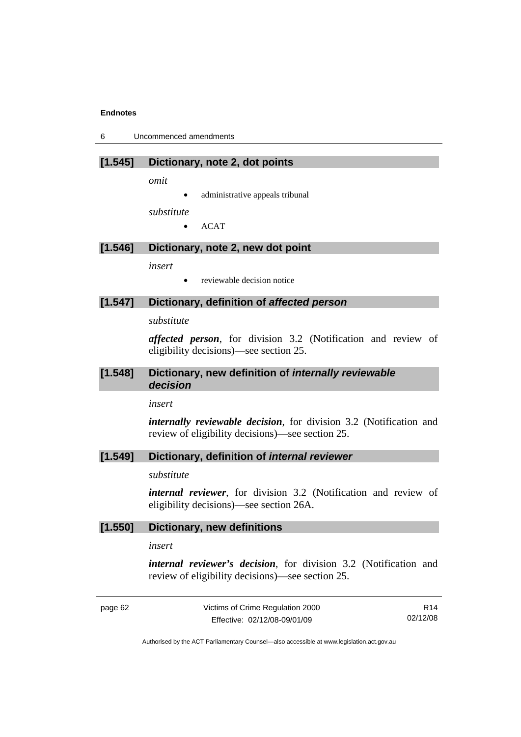6 Uncommenced amendments

#### **[1.545] Dictionary, note 2, dot points**

*omit* 

administrative appeals tribunal

*substitute* 

• ACAT

## **[1.546] Dictionary, note 2, new dot point**

*insert* 

• reviewable decision notice

#### **[1.547] Dictionary, definition of** *affected person*

*substitute* 

*affected person*, for division 3.2 (Notification and review of eligibility decisions)—see section 25.

#### **[1.548] Dictionary, new definition of** *internally reviewable decision*

*insert* 

*internally reviewable decision*, for division 3.2 (Notification and review of eligibility decisions)—see section 25.

#### **[1.549] Dictionary, definition of** *internal reviewer*

*substitute* 

*internal reviewer*, for division 3.2 (Notification and review of eligibility decisions)—see section 26A.

#### **[1.550] Dictionary, new definitions**

*insert* 

*internal reviewer's decision*, for division 3.2 (Notification and review of eligibility decisions)—see section 25.

page 62 Victims of Crime Regulation 2000 Effective: 02/12/08-09/01/09

R14 02/12/08